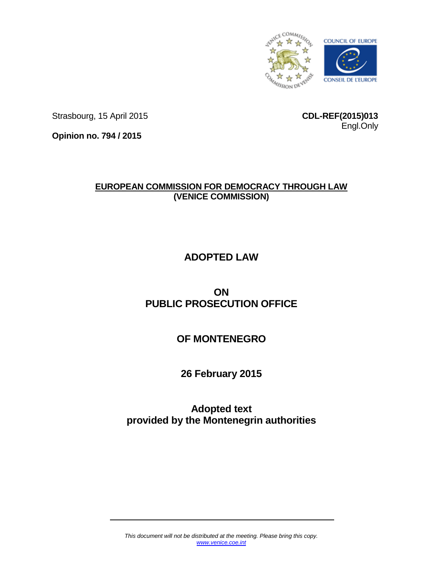

Strasbourg, 15 April 2015

**CDL-REF(2015)013** Engl.Only

**Opinion no. 794 / 2015**

# **EUROPEAN COMMISSION FOR DEMOCRACY THROUGH LAW (VENICE COMMISSION)**

# **ADOPTED LAW**

# **ON PUBLIC PROSECUTION OFFICE**

# **OF MONTENEGRO**

# **26 February 2015**

# **Adopted text provided by the Montenegrin authorities**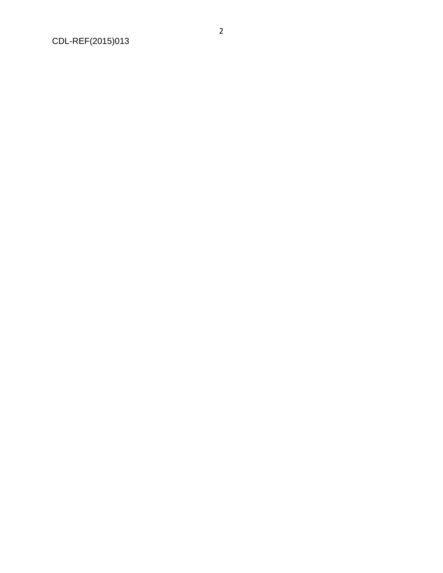CDL -REF(2015)01 3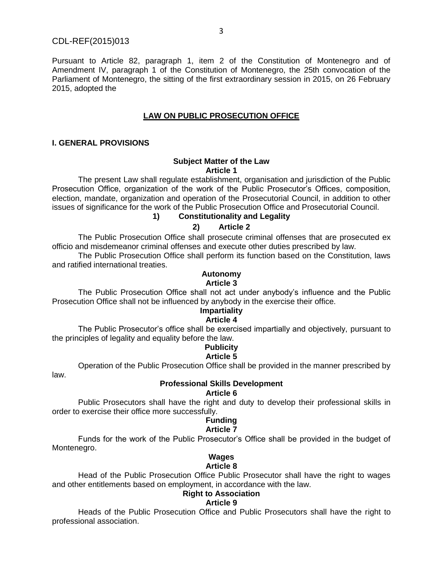Pursuant to Article 82, paragraph 1, item 2 of the Constitution of Montenegro and of Amendment IV, paragraph 1 of the Constitution of Montenegro, the 25th convocation of the Parliament of Montenegro, the sitting of the first extraordinary session in 2015, on 26 February 2015, adopted the

### **LAW ON PUBLIC PROSECUTION OFFICE**

#### **I. GENERAL PROVISIONS**

#### **Subject Matter of the Law Article 1**

The present Law shall regulate establishment, organisation and jurisdiction of the Public Prosecution Office, organization of the work of the Public Prosecutor's Offices, composition, election, mandate, organization and operation of the Prosecutorial Council, in addition to other issues of significance for the work of the Public Prosecution Office and Prosecutorial Council.

## **1) Constitutionality and Legality**

## **2) Article 2**

The Public Prosecution Office shall prosecute criminal offenses that are prosecuted ex officio and misdemeanor criminal offenses and execute other duties prescribed by law.

The Public Prosecution Office shall perform its function based on the Constitution, laws and ratified international treaties.

#### **Autonomy Article 3**

The Public Prosecution Office shall not act under anybody's influence and the Public Prosecution Office shall not be influenced by anybody in the exercise their office.

# **Impartiality**

## **Article 4**

The Public Prosecutor's office shall be exercised impartially and objectively, pursuant to the principles of legality and equality before the law.

# **Publicity**

## **Article 5**

Operation of the Public Prosecution Office shall be provided in the manner prescribed by law.

# **Professional Skills Development**

## **Article 6**

Public Prosecutors shall have the right and duty to develop their professional skills in order to exercise their office more successfully.

#### **Funding**

#### **Article 7**

Funds for the work of the Public Prosecutor's Office shall be provided in the budget of Montenegro.

### **Wages**

### **Article 8**

Head of the Public Prosecution Office Public Prosecutor shall have the right to wages and other entitlements based on employment, in accordance with the law.

## **Right to Association**

#### **Article 9**

Heads of the Public Prosecution Office and Public Prosecutors shall have the right to professional association.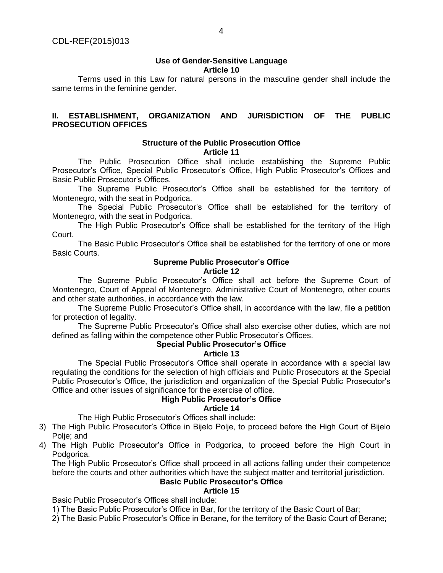#### **Use of Gender-Sensitive Language Article 10**

Terms used in this Law for natural persons in the masculine gender shall include the same terms in the feminine gender.

## **II. ESTABLISHMENT, ORGANIZATION AND JURISDICTION OF THE PUBLIC PROSECUTION OFFICES**

#### **Structure of the Public Prosecution Office Article 11**

The Public Prosecution Office shall include establishing the Supreme Public Prosecutor's Office, Special Public Prosecutor's Office, High Public Prosecutor's Offices and Basic Public Prosecutor's Offices.

The Supreme Public Prosecutor's Office shall be established for the territory of Montenegro, with the seat in Podgorica.

The Special Public Prosecutor's Office shall be established for the territory of Montenegro, with the seat in Podgorica.

The High Public Prosecutor's Office shall be established for the territory of the High Court.

The Basic Public Prosecutor's Office shall be established for the territory of one or more Basic Courts.

#### **Supreme Public Prosecutor's Office Article 12**

The Supreme Public Prosecutor's Office shall act before the Supreme Court of Montenegro, Court of Appeal of Montenegro, Administrative Court of Montenegro, other courts and other state authorities, in accordance with the law.

The Supreme Public Prosecutor's Office shall, in accordance with the law, file a petition for protection of legality.

The Supreme Public Prosecutor's Office shall also exercise other duties, which are not defined as falling within the competence other Public Prosecutor's Offices.

## **Special Public Prosecutor's Office**

#### **Article 13**

The Special Public Prosecutor's Office shall operate in accordance with a special law regulating the conditions for the selection of high officials and Public Prosecutors at the Special Public Prosecutor's Office, the jurisdiction and organization of the Special Public Prosecutor's Office and other issues of significance for the exercise of office.

# **High Public Prosecutor's Office**

#### **Article 14**

The High Public Prosecutor's Offices shall include:

- 3) The High Public Prosecutor's Office in Bijelo Polje, to proceed before the High Court of Bijelo Polie: and
- 4) The High Public Prosecutor's Office in Podgorica, to proceed before the High Court in Podgorica.

The High Public Prosecutor's Office shall proceed in all actions falling under their competence before the courts and other authorities which have the subject matter and territorial jurisdiction.

## **Basic Public Prosecutor's Office**

## **Article 15**

Basic Public Prosecutor's Offices shall include:

1) The Basic Public Prosecutor's Office in Bar, for the territory of the Basic Court of Bar;

2) The Basic Public Prosecutor's Office in Berane, for the territory of the Basic Court of Berane;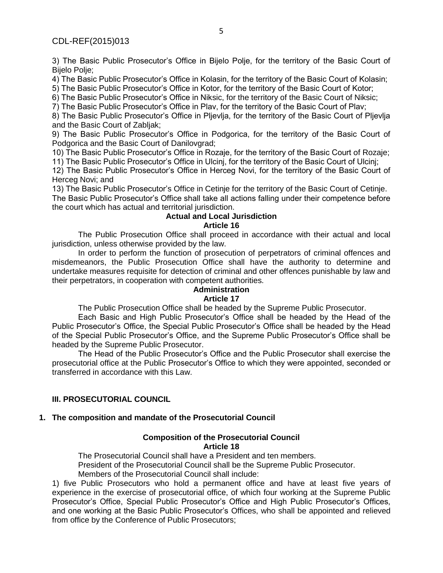3) The Basic Public Prosecutor's Office in Bijelo Polje, for the territory of the Basic Court of Bijelo Polje:

4) The Basic Public Prosecutor's Office in Kolasin, for the territory of the Basic Court of Kolasin;

5) The Basic Public Prosecutor's Office in Kotor, for the territory of the Basic Court of Kotor;

6) The Basic Public Prosecutor's Office in Niksic, for the territory of the Basic Court of Niksic;

7) The Basic Public Prosecutor's Office in Plav, for the territory of the Basic Court of Plav;

8) The Basic Public Prosecutor's Office in Pljevlja, for the territory of the Basic Court of Pljevlja and the Basic Court of Zabljak;

9) The Basic Public Prosecutor's Office in Podgorica, for the territory of the Basic Court of Podgorica and the Basic Court of Danilovgrad;

10) The Basic Public Prosecutor's Office in Rozaje, for the territory of the Basic Court of Rozaje;

11) The Basic Public Prosecutor's Office in Ulcinj, for the territory of the Basic Court of Ulcinj;

12) The Basic Public Prosecutor's Office in Herceg Novi, for the territory of the Basic Court of Herceg Novi; and

13) The Basic Public Prosecutor's Office in Cetinje for the territory of the Basic Court of Cetinje. The Basic Public Prosecutor's Office shall take all actions falling under their competence before the court which has actual and territorial jurisdiction.

## **Actual and Local Jurisdiction**

#### **Article 16**

The Public Prosecution Office shall proceed in accordance with their actual and local jurisdiction, unless otherwise provided by the law.

In order to perform the function of prosecution of perpetrators of criminal offences and misdemeanors, the Public Prosecution Office shall have the authority to determine and undertake measures requisite for detection of criminal and other offences punishable by law and their perpetrators, in cooperation with competent authorities.

# **Administration**

## **Article 17**

The Public Prosecution Office shall be headed by the Supreme Public Prosecutor.

Each Basic and High Public Prosecutor's Office shall be headed by the Head of the Public Prosecutor's Office, the Special Public Prosecutor's Office shall be headed by the Head of the Special Public Prosecutor's Office, and the Supreme Public Prosecutor's Office shall be headed by the Supreme Public Prosecutor.

The Head of the Public Prosecutor's Office and the Public Prosecutor shall exercise the prosecutorial office at the Public Prosecutor's Office to which they were appointed, seconded or transferred in accordance with this Law.

## **III. PROSECUTORIAL COUNCIL**

## **1. The composition and mandate of the Prosecutorial Council**

#### **Composition of the Prosecutorial Council Article 18**

The Prosecutorial Council shall have a President and ten members.

President of the Prosecutorial Council shall be the Supreme Public Prosecutor.

Members of the Prosecutorial Council shall include:

1) five Public Prosecutors who hold a permanent office and have at least five years of experience in the exercise of prosecutorial office, of which four working at the Supreme Public Prosecutor's Office, Special Public Prosecutor's Office and High Public Prosecutor's Offices, and one working at the Basic Public Prosecutor's Offices, who shall be appointed and relieved from office by the Conference of Public Prosecutors;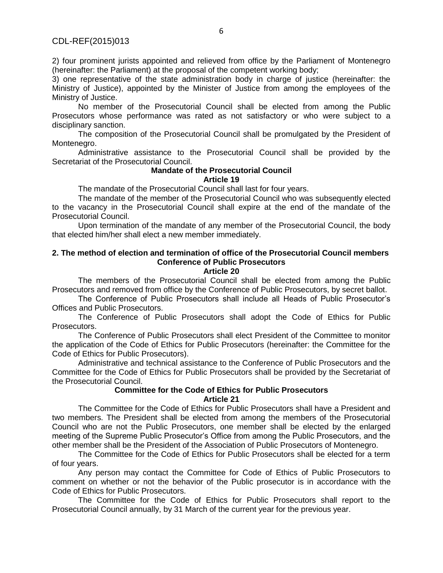2) four prominent jurists appointed and relieved from office by the Parliament of Montenegro (hereinafter: the Parliament) at the proposal of the competent working body;

3) one representative of the state administration body in charge of justice (hereinafter: the Ministry of Justice), appointed by the Minister of Justice from among the employees of the Ministry of Justice.

No member of the Prosecutorial Council shall be elected from among the Public Prosecutors whose performance was rated as not satisfactory or who were subject to a disciplinary sanction.

The composition of the Prosecutorial Council shall be promulgated by the President of Montenegro.

Administrative assistance to the Prosecutorial Council shall be provided by the Secretariat of the Prosecutorial Council.

# **Mandate of the Prosecutorial Council**

#### **Article 19**

The mandate of the Prosecutorial Council shall last for four years.

The mandate of the member of the Prosecutorial Council who was subsequently elected to the vacancy in the Prosecutorial Council shall expire at the end of the mandate of the Prosecutorial Council.

Upon termination of the mandate of any member of the Prosecutorial Council, the body that elected him/her shall elect a new member immediately.

# **2. The method of election and termination of office of the Prosecutorial Council members Conference of Public Prosecutors**

**Article 20**

The members of the Prosecutorial Council shall be elected from among the Public Prosecutors and removed from office by the Conference of Public Prosecutors, by secret ballot.

The Conference of Public Prosecutors shall include all Heads of Public Prosecutor's Offices and Public Prosecutors.

The Conference of Public Prosecutors shall adopt the Code of Ethics for Public Prosecutors.

The Conference of Public Prosecutors shall elect President of the Committee to monitor the application of the Code of Ethics for Public Prosecutors (hereinafter: the Committee for the Code of Ethics for Public Prosecutors).

Administrative and technical assistance to the Conference of Public Prosecutors and the Committee for the Code of Ethics for Public Prosecutors shall be provided by the Secretariat of the Prosecutorial Council.

#### **Committee for the Code of Ethics for Public Prosecutors Article 21**

The Committee for the Code of Ethics for Public Prosecutors shall have a President and two members. The President shall be elected from among the members of the Prosecutorial Council who are not the Public Prosecutors, one member shall be elected by the enlarged meeting of the Supreme Public Prosecutor's Office from among the Public Prosecutors, and the other member shall be the President of the Association of Public Prosecutors of Montenegro.

The Committee for the Code of Ethics for Public Prosecutors shall be elected for a term of four years.

Any person may contact the Committee for Code of Ethics of Public Prosecutors to comment on whether or not the behavior of the Public prosecutor is in accordance with the Code of Ethics for Public Prosecutors.

The Committee for the Code of Ethics for Public Prosecutors shall report to the Prosecutorial Council annually, by 31 March of the current year for the previous year.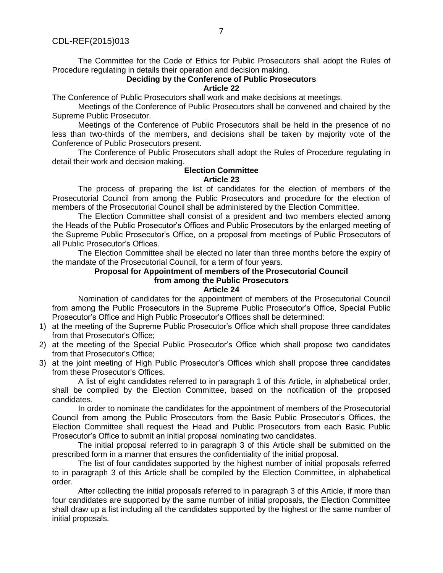The Committee for the Code of Ethics for Public Prosecutors shall adopt the Rules of Procedure regulating in details their operation and decision making.

# **Deciding by the Conference of Public Prosecutors**

## **Article 22**

The Conference of Public Prosecutors shall work and make decisions at meetings.

Meetings of the Conference of Public Prosecutors shall be convened and chaired by the Supreme Public Prosecutor.

Meetings of the Conference of Public Prosecutors shall be held in the presence of no less than two-thirds of the members, and decisions shall be taken by majority vote of the Conference of Public Prosecutors present.

The Conference of Public Prosecutors shall adopt the Rules of Procedure regulating in detail their work and decision making.

## **Election Committee Article 23**

The process of preparing the list of candidates for the election of members of the Prosecutorial Council from among the Public Prosecutors and procedure for the election of members of the Prosecutorial Council shall be administered by the Election Committee.

The Election Committee shall consist of a president and two members elected among the Heads of the Public Prosecutor's Offices and Public Prosecutors by the enlarged meeting of the Supreme Public Prosecutor's Office, on a proposal from meetings of Public Prosecutors of all Public Prosecutor's Offices.

The Election Committee shall be elected no later than three months before the expiry of the mandate of the Prosecutorial Council, for a term of four years.

## **Proposal for Appointment of members of the Prosecutorial Council from among the Public Prosecutors**

#### **Article 24**

Nomination of candidates for the appointment of members of the Prosecutorial Council from among the Public Prosecutors in the Supreme Public Prosecutor's Office, Special Public Prosecutor's Office and High Public Prosecutor's Offices shall be determined:

- 1) at the meeting of the Supreme Public Prosecutor's Office which shall propose three candidates from that Prosecutor's Office;
- 2) at the meeting of the Special Public Prosecutor's Office which shall propose two candidates from that Prosecutor's Office;
- 3) at the joint meeting of High Public Prosecutor's Offices which shall propose three candidates from these Prosecutor's Offices.

A list of eight candidates referred to in paragraph 1 of this Article, in alphabetical order, shall be compiled by the Election Committee, based on the notification of the proposed candidates.

In order to nominate the candidates for the appointment of members of the Prosecutorial Council from among the Public Prosecutors from the Basic Public Prosecutor's Offices, the Election Committee shall request the Head and Public Prosecutors from each Basic Public Prosecutor's Office to submit an initial proposal nominating two candidates.

The initial proposal referred to in paragraph 3 of this Article shall be submitted on the prescribed form in a manner that ensures the confidentiality of the initial proposal.

The list of four candidates supported by the highest number of initial proposals referred to in paragraph 3 of this Article shall be compiled by the Election Committee, in alphabetical order.

After collecting the initial proposals referred to in paragraph 3 of this Article, if more than four candidates are supported by the same number of initial proposals, the Election Committee shall draw up a list including all the candidates supported by the highest or the same number of initial proposals.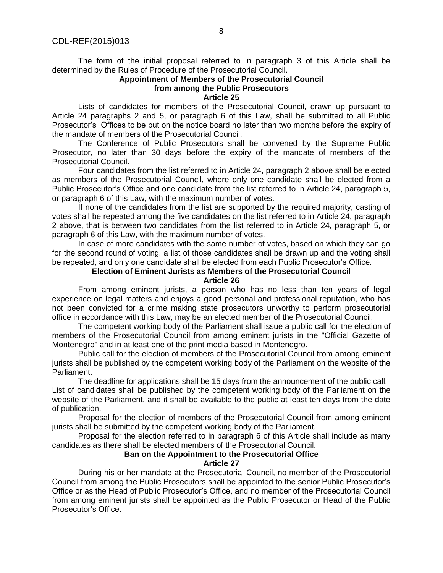The form of the initial proposal referred to in paragraph 3 of this Article shall be determined by the Rules of Procedure of the Prosecutorial Council.

# **Appointment of Members of the Prosecutorial Council from among the Public Prosecutors**

#### **Article 25**

Lists of candidates for members of the Prosecutorial Council, drawn up pursuant to Article 24 paragraphs 2 and 5, or paragraph 6 of this Law, shall be submitted to all Public Prosecutor's Offices to be put on the notice board no later than two months before the expiry of the mandate of members of the Prosecutorial Council.

The Conference of Public Prosecutors shall be convened by the Supreme Public Prosecutor, no later than 30 days before the expiry of the mandate of members of the Prosecutorial Council.

Four candidates from the list referred to in Article 24, paragraph 2 above shall be elected as members of the Prosecutorial Council, where only one candidate shall be elected from a Public Prosecutor's Office and one candidate from the list referred to in Article 24, paragraph 5, or paragraph 6 of this Law, with the maximum number of votes.

If none of the candidates from the list are supported by the required majority, casting of votes shall be repeated among the five candidates on the list referred to in Article 24, paragraph 2 above, that is between two candidates from the list referred to in Article 24, paragraph 5, or paragraph 6 of this Law, with the maximum number of votes.

In case of more candidates with the same number of votes, based on which they can go for the second round of voting, a list of those candidates shall be drawn up and the voting shall be repeated, and only one candidate shall be elected from each Public Prosecutor's Office.

## **Election of Eminent Jurists as Members of the Prosecutorial Council**

#### **Article 26**

From among eminent jurists, a person who has no less than ten years of legal experience on legal matters and enjoys a good personal and professional reputation, who has not been convicted for a crime making state prosecutors unworthy to perform prosecutorial office in accordance with this Law, may be an elected member of the Prosecutorial Council.

The competent working body of the Parliament shall issue a public call for the election of members of the Prosecutorial Council from among eminent jurists in the "Official Gazette of Montenegro" and in at least one of the print media based in Montenegro.

Public call for the election of members of the Prosecutorial Council from among eminent jurists shall be published by the competent working body of the Parliament on the website of the Parliament.

The deadline for applications shall be 15 days from the announcement of the public call. List of candidates shall be published by the competent working body of the Parliament on the website of the Parliament, and it shall be available to the public at least ten days from the date of publication.

Proposal for the election of members of the Prosecutorial Council from among eminent jurists shall be submitted by the competent working body of the Parliament.

Proposal for the election referred to in paragraph 6 of this Article shall include as many candidates as there shall be elected members of the Prosecutorial Council.

#### **Ban on the Appointment to the Prosecutorial Office Article 27**

During his or her mandate at the Prosecutorial Council, no member of the Prosecutorial Council from among the Public Prosecutors shall be appointed to the senior Public Prosecutor's Office or as the Head of Public Prosecutor's Office, and no member of the Prosecutorial Council from among eminent jurists shall be appointed as the Public Prosecutor or Head of the Public Prosecutor's Office.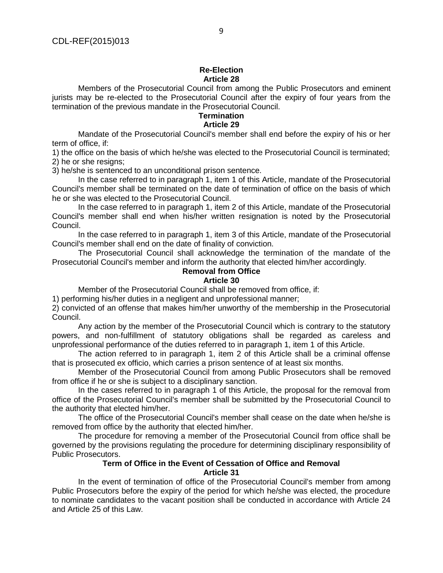#### **Re-Election Article 28**

Members of the Prosecutorial Council from among the Public Prosecutors and eminent jurists may be re-elected to the Prosecutorial Council after the expiry of four years from the termination of the previous mandate in the Prosecutorial Council.

## **Termination**

#### **Article 29**

Mandate of the Prosecutorial Council's member shall end before the expiry of his or her term of office, if:

1) the office on the basis of which he/she was elected to the Prosecutorial Council is terminated; 2) he or she resigns;

3) he/she is sentenced to an unconditional prison sentence.

In the case referred to in paragraph 1, item 1 of this Article, mandate of the Prosecutorial Council's member shall be terminated on the date of termination of office on the basis of which he or she was elected to the Prosecutorial Council.

In the case referred to in paragraph 1, item 2 of this Article, mandate of the Prosecutorial Council's member shall end when his/her written resignation is noted by the Prosecutorial Council.

In the case referred to in paragraph 1, item 3 of this Article, mandate of the Prosecutorial Council's member shall end on the date of finality of conviction.

The Prosecutorial Council shall acknowledge the termination of the mandate of the Prosecutorial Council's member and inform the authority that elected him/her accordingly.

## **Removal from Office**

#### **Article 30**

Member of the Prosecutorial Council shall be removed from office, if:

1) performing his/her duties in a negligent and unprofessional manner;

2) convicted of an offense that makes him/her unworthy of the membership in the Prosecutorial Council.

Any action by the member of the Prosecutorial Council which is contrary to the statutory powers, and non-fulfillment of statutory obligations shall be regarded as careless and unprofessional performance of the duties referred to in paragraph 1, item 1 of this Article.

The action referred to in paragraph 1, item 2 of this Article shall be a criminal offense that is prosecuted ex officio, which carries a prison sentence of at least six months.

Member of the Prosecutorial Council from among Public Prosecutors shall be removed from office if he or she is subject to a disciplinary sanction.

In the cases referred to in paragraph 1 of this Article, the proposal for the removal from office of the Prosecutorial Council's member shall be submitted by the Prosecutorial Council to the authority that elected him/her.

The office of the Prosecutorial Council's member shall cease on the date when he/she is removed from office by the authority that elected him/her.

The procedure for removing a member of the Prosecutorial Council from office shall be governed by the provisions regulating the procedure for determining disciplinary responsibility of Public Prosecutors.

#### **Term of Office in the Event of Cessation of Office and Removal Article 31**

In the event of termination of office of the Prosecutorial Council's member from among Public Prosecutors before the expiry of the period for which he/she was elected, the procedure to nominate candidates to the vacant position shall be conducted in accordance with Article 24 and Article 25 of this Law.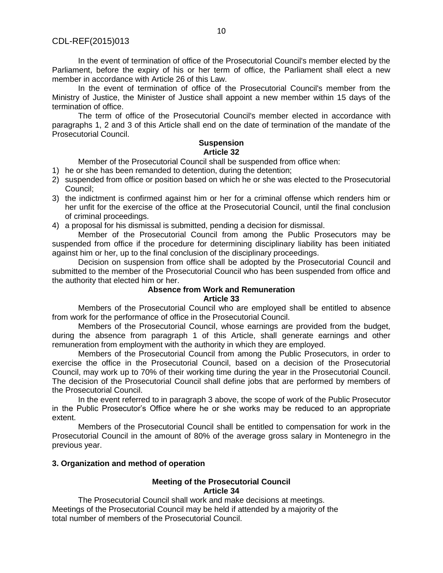In the event of termination of office of the Prosecutorial Council's member elected by the Parliament, before the expiry of his or her term of office, the Parliament shall elect a new member in accordance with Article 26 of this Law.

In the event of termination of office of the Prosecutorial Council's member from the Ministry of Justice, the Minister of Justice shall appoint a new member within 15 days of the termination of office.

The term of office of the Prosecutorial Council's member elected in accordance with paragraphs 1, 2 and 3 of this Article shall end on the date of termination of the mandate of the Prosecutorial Council.

#### **Suspension Article 32**

Member of the Prosecutorial Council shall be suspended from office when:

- 1) he or she has been remanded to detention, during the detention;
- 2) suspended from office or position based on which he or she was elected to the Prosecutorial Council;
- 3) the indictment is confirmed against him or her for a criminal offense which renders him or her unfit for the exercise of the office at the Prosecutorial Council, until the final conclusion of criminal proceedings.
- 4) a proposal for his dismissal is submitted, pending a decision for dismissal.

Member of the Prosecutorial Council from among the Public Prosecutors may be suspended from office if the procedure for determining disciplinary liability has been initiated against him or her, up to the final conclusion of the disciplinary proceedings.

Decision on suspension from office shall be adopted by the Prosecutorial Council and submitted to the member of the Prosecutorial Council who has been suspended from office and the authority that elected him or her.

#### **Absence from Work and Remuneration Article 33**

Members of the Prosecutorial Council who are employed shall be entitled to absence from work for the performance of office in the Prosecutorial Council.

Members of the Prosecutorial Council, whose earnings are provided from the budget, during the absence from paragraph 1 of this Article, shall generate earnings and other remuneration from employment with the authority in which they are employed.

Members of the Prosecutorial Council from among the Public Prosecutors, in order to exercise the office in the Prosecutorial Council, based on a decision of the Prosecutorial Council, may work up to 70% of their working time during the year in the Prosecutorial Council. The decision of the Prosecutorial Council shall define jobs that are performed by members of the Prosecutorial Council.

In the event referred to in paragraph 3 above, the scope of work of the Public Prosecutor in the Public Prosecutor's Office where he or she works may be reduced to an appropriate extent.

Members of the Prosecutorial Council shall be entitled to compensation for work in the Prosecutorial Council in the amount of 80% of the average gross salary in Montenegro in the previous year.

#### **3. Organization and method of operation**

## **Meeting of the Prosecutorial Council Article 34**

The Prosecutorial Council shall work and make decisions at meetings. Meetings of the Prosecutorial Council may be held if attended by a majority of the total number of members of the Prosecutorial Council.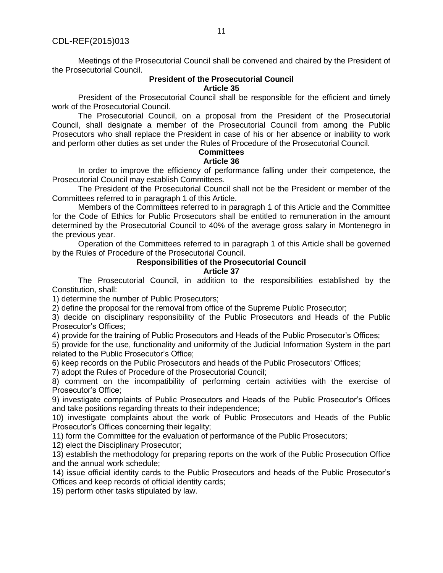Meetings of the Prosecutorial Council shall be convened and chaired by the President of the Prosecutorial Council.

## **President of the Prosecutorial Council Article 35**

President of the Prosecutorial Council shall be responsible for the efficient and timely work of the Prosecutorial Council.

The Prosecutorial Council, on a proposal from the President of the Prosecutorial Council, shall designate a member of the Prosecutorial Council from among the Public Prosecutors who shall replace the President in case of his or her absence or inability to work and perform other duties as set under the Rules of Procedure of the Prosecutorial Council.

# **Committees**

**Article 36**

In order to improve the efficiency of performance falling under their competence, the Prosecutorial Council may establish Committees.

The President of the Prosecutorial Council shall not be the President or member of the Committees referred to in paragraph 1 of this Article.

Members of the Committees referred to in paragraph 1 of this Article and the Committee for the Code of Ethics for Public Prosecutors shall be entitled to remuneration in the amount determined by the Prosecutorial Council to 40% of the average gross salary in Montenegro in the previous year.

Operation of the Committees referred to in paragraph 1 of this Article shall be governed by the Rules of Procedure of the Prosecutorial Council.

#### **Responsibilities of the Prosecutorial Council Article 37**

The Prosecutorial Council, in addition to the responsibilities established by the Constitution, shall:

1) determine the number of Public Prosecutors;

2) define the proposal for the removal from office of the Supreme Public Prosecutor;

3) decide on disciplinary responsibility of the Public Prosecutors and Heads of the Public Prosecutor's Offices;

4) provide for the training of Public Prosecutors and Heads of the Public Prosecutor's Offices;

5) provide for the use, functionality and uniformity of the Judicial Information System in the part related to the Public Prosecutor's Office;

6) keep records on the Public Prosecutors and heads of the Public Prosecutors' Offices;

7) adopt the Rules of Procedure of the Prosecutorial Council;

8) comment on the incompatibility of performing certain activities with the exercise of Prosecutor's Office;

9) investigate complaints of Public Prosecutors and Heads of the Public Prosecutor's Offices and take positions regarding threats to their independence;

10) investigate complaints about the work of Public Prosecutors and Heads of the Public Prosecutor's Offices concerning their legality;

11) form the Committee for the evaluation of performance of the Public Prosecutors;

12) elect the Disciplinary Prosecutor;

13) establish the methodology for preparing reports on the work of the Public Prosecution Office and the annual work schedule;

14) issue official identity cards to the Public Prosecutors and heads of the Public Prosecutor's Offices and keep records of official identity cards;

15) perform other tasks stipulated by law.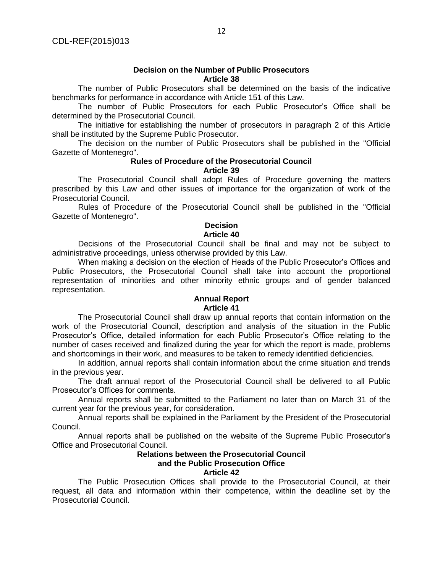#### **Decision on the Number of Public Prosecutors Article 38**

The number of Public Prosecutors shall be determined on the basis of the indicative benchmarks for performance in accordance with Article 151 of this Law.

The number of Public Prosecutors for each Public Prosecutor's Office shall be determined by the Prosecutorial Council.

The initiative for establishing the number of prosecutors in paragraph 2 of this Article shall be instituted by the Supreme Public Prosecutor.

The decision on the number of Public Prosecutors shall be published in the "Official Gazette of Montenegro".

#### **Rules of Procedure of the Prosecutorial Council Article 39**

The Prosecutorial Council shall adopt Rules of Procedure governing the matters prescribed by this Law and other issues of importance for the organization of work of the Prosecutorial Council.

Rules of Procedure of the Prosecutorial Council shall be published in the "Official Gazette of Montenegro".

#### **Decision Article 40**

Decisions of the Prosecutorial Council shall be final and may not be subject to administrative proceedings, unless otherwise provided by this Law.

When making a decision on the election of Heads of the Public Prosecutor's Offices and Public Prosecutors, the Prosecutorial Council shall take into account the proportional representation of minorities and other minority ethnic groups and of gender balanced representation.

#### **Annual Report Article 41**

The Prosecutorial Council shall draw up annual reports that contain information on the work of the Prosecutorial Council, description and analysis of the situation in the Public Prosecutor's Office, detailed information for each Public Prosecutor's Office relating to the number of cases received and finalized during the year for which the report is made, problems and shortcomings in their work, and measures to be taken to remedy identified deficiencies.

In addition, annual reports shall contain information about the crime situation and trends in the previous year.

The draft annual report of the Prosecutorial Council shall be delivered to all Public Prosecutor's Offices for comments.

Annual reports shall be submitted to the Parliament no later than on March 31 of the current year for the previous year, for consideration.

Annual reports shall be explained in the Parliament by the President of the Prosecutorial Council.

Annual reports shall be published on the website of the Supreme Public Prosecutor's Office and Prosecutorial Council.

#### **Relations between the Prosecutorial Council and the Public Prosecution Office Article 42**

The Public Prosecution Offices shall provide to the Prosecutorial Council, at their request, all data and information within their competence, within the deadline set by the Prosecutorial Council.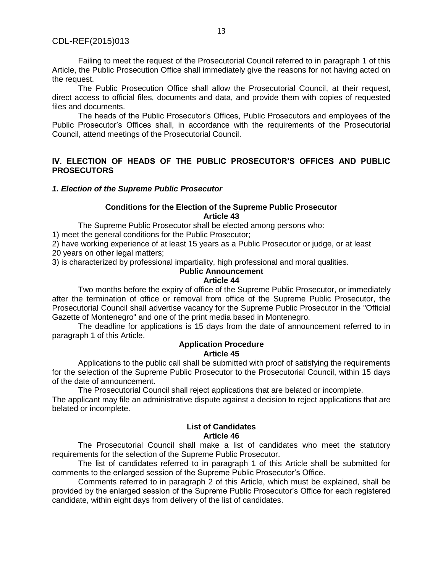Failing to meet the request of the Prosecutorial Council referred to in paragraph 1 of this Article, the Public Prosecution Office shall immediately give the reasons for not having acted on the request.

The Public Prosecution Office shall allow the Prosecutorial Council, at their request, direct access to official files, documents and data, and provide them with copies of requested files and documents.

The heads of the Public Prosecutor's Offices, Public Prosecutors and employees of the Public Prosecutor's Offices shall, in accordance with the requirements of the Prosecutorial Council, attend meetings of the Prosecutorial Council.

## **IV. ELECTION OF HEADS OF THE PUBLIC PROSECUTOR'S OFFICES AND PUBLIC PROSECUTORS**

#### *1. Election of the Supreme Public Prosecutor*

### **Conditions for the Election of the Supreme Public Prosecutor Article 43**

The Supreme Public Prosecutor shall be elected among persons who:

1) meet the general conditions for the Public Prosecutor;

2) have working experience of at least 15 years as a Public Prosecutor or judge, or at least 20 years on other legal matters;

3) is characterized by professional impartiality, high professional and moral qualities.

## **Public Announcement**

#### **Article 44**

Two months before the expiry of office of the Supreme Public Prosecutor, or immediately after the termination of office or removal from office of the Supreme Public Prosecutor, the Prosecutorial Council shall advertise vacancy for the Supreme Public Prosecutor in the "Official Gazette of Montenegro" and one of the print media based in Montenegro.

The deadline for applications is 15 days from the date of announcement referred to in paragraph 1 of this Article.

#### **Application Procedure Article 45**

Applications to the public call shall be submitted with proof of satisfying the requirements for the selection of the Supreme Public Prosecutor to the Prosecutorial Council, within 15 days of the date of announcement.

The Prosecutorial Council shall reject applications that are belated or incomplete.

The applicant may file an administrative dispute against a decision to reject applications that are belated or incomplete.

## **List of Candidates Article 46**

The Prosecutorial Council shall make a list of candidates who meet the statutory requirements for the selection of the Supreme Public Prosecutor.

The list of candidates referred to in paragraph 1 of this Article shall be submitted for comments to the enlarged session of the Supreme Public Prosecutor's Office.

Comments referred to in paragraph 2 of this Article, which must be explained, shall be provided by the enlarged session of the Supreme Public Prosecutor's Office for each registered candidate, within eight days from delivery of the list of candidates.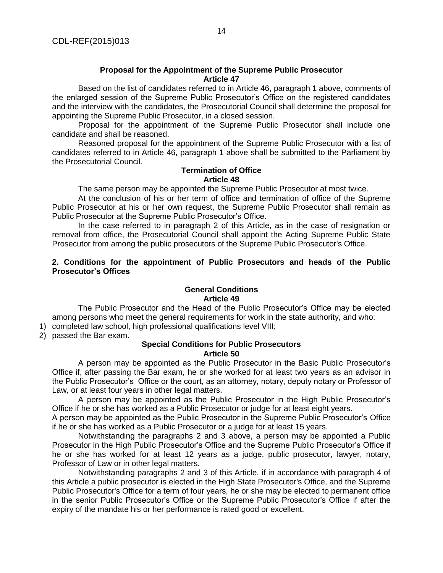#### **Proposal for the Appointment of the Supreme Public Prosecutor Article 47**

Based on the list of candidates referred to in Article 46, paragraph 1 above, comments of the enlarged session of the Supreme Public Prosecutor's Office on the registered candidates and the interview with the candidates, the Prosecutorial Council shall determine the proposal for appointing the Supreme Public Prosecutor, in a closed session.

Proposal for the appointment of the Supreme Public Prosecutor shall include one candidate and shall be reasoned.

Reasoned proposal for the appointment of the Supreme Public Prosecutor with a list of candidates referred to in Article 46, paragraph 1 above shall be submitted to the Parliament by the Prosecutorial Council.

#### **Termination of Office Article 48**

The same person may be appointed the Supreme Public Prosecutor at most twice.

At the conclusion of his or her term of office and termination of office of the Supreme Public Prosecutor at his or her own request, the Supreme Public Prosecutor shall remain as Public Prosecutor at the Supreme Public Prosecutor's Office.

In the case referred to in paragraph 2 of this Article, as in the case of resignation or removal from office, the Prosecutorial Council shall appoint the Acting Supreme Public State Prosecutor from among the public prosecutors of the Supreme Public Prosecutor's Office.

## **2. Conditions for the appointment of Public Prosecutors and heads of the Public Prosecutor's Offices**

#### **General Conditions Article 49**

The Public Prosecutor and the Head of the Public Prosecutor's Office may be elected among persons who meet the general requirements for work in the state authority, and who:

1) completed law school, high professional qualifications level VIII;

2) passed the Bar exam.

#### **Special Conditions for Public Prosecutors Article 50**

A person may be appointed as the Public Prosecutor in the Basic Public Prosecutor's Office if, after passing the Bar exam, he or she worked for at least two years as an advisor in the Public Prosecutor's Office or the court, as an attorney, notary, deputy notary or Professor of Law, or at least four years in other legal matters.

A person may be appointed as the Public Prosecutor in the High Public Prosecutor's Office if he or she has worked as a Public Prosecutor or judge for at least eight years.

A person may be appointed as the Public Prosecutor in the Supreme Public Prosecutor's Office if he or she has worked as a Public Prosecutor or a judge for at least 15 years.

Notwithstanding the paragraphs 2 and 3 above, a person may be appointed a Public Prosecutor in the High Public Prosecutor's Office and the Supreme Public Prosecutor's Office if he or she has worked for at least 12 years as a judge, public prosecutor, lawyer, notary, Professor of Law or in other legal matters.

Notwithstanding paragraphs 2 and 3 of this Article, if in accordance with paragraph 4 of this Article a public prosecutor is elected in the High State Prosecutor's Office, and the Supreme Public Prosecutor's Office for a term of four years, he or she may be elected to permanent office in the senior Public Prosecutor's Office or the Supreme Public Prosecutor's Office if after the expiry of the mandate his or her performance is rated good or excellent.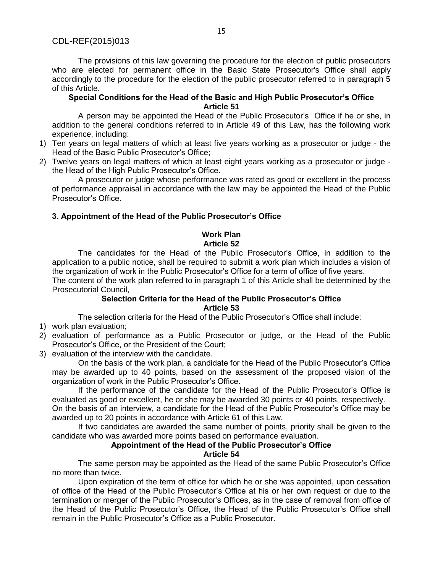The provisions of this law governing the procedure for the election of public prosecutors who are elected for permanent office in the Basic State Prosecutor's Office shall apply accordingly to the procedure for the election of the public prosecutor referred to in paragraph 5 of this Article.

## **Special Conditions for the Head of the Basic and High Public Prosecutor's Office Article 51**

A person may be appointed the Head of the Public Prosecutor's Office if he or she, in addition to the general conditions referred to in Article 49 of this Law, has the following work experience, including:

- 1) Ten years on legal matters of which at least five years working as a prosecutor or judge the Head of the Basic Public Prosecutor's Office;
- 2) Twelve years on legal matters of which at least eight years working as a prosecutor or judge the Head of the High Public Prosecutor's Office.

A prosecutor or judge whose performance was rated as good or excellent in the process of performance appraisal in accordance with the law may be appointed the Head of the Public Prosecutor's Office.

## **3. Appointment of the Head of the Public Prosecutor's Office**

### **Work Plan Article 52**

The candidates for the Head of the Public Prosecutor's Office, in addition to the application to a public notice, shall be required to submit a work plan which includes a vision of the organization of work in the Public Prosecutor's Office for a term of office of five years.

The content of the work plan referred to in paragraph 1 of this Article shall be determined by the Prosecutorial Council,

## **Selection Criteria for the Head of the Public Prosecutor's Office Article 53**

The selection criteria for the Head of the Public Prosecutor's Office shall include:

- 1) work plan evaluation;
- 2) evaluation of performance as a Public Prosecutor or judge, or the Head of the Public Prosecutor's Office, or the President of the Court;
- 3) evaluation of the interview with the candidate.

On the basis of the work plan, a candidate for the Head of the Public Prosecutor's Office may be awarded up to 40 points, based on the assessment of the proposed vision of the organization of work in the Public Prosecutor's Office.

If the performance of the candidate for the Head of the Public Prosecutor's Office is evaluated as good or excellent, he or she may be awarded 30 points or 40 points, respectively.

On the basis of an interview, a candidate for the Head of the Public Prosecutor's Office may be awarded up to 20 points in accordance with Article 61 of this Law.

If two candidates are awarded the same number of points, priority shall be given to the candidate who was awarded more points based on performance evaluation.

# **Appointment of the Head of the Public Prosecutor's Office**

**Article 54**

The same person may be appointed as the Head of the same Public Prosecutor's Office no more than twice.

Upon expiration of the term of office for which he or she was appointed, upon cessation of office of the Head of the Public Prosecutor's Office at his or her own request or due to the termination or merger of the Public Prosecutor's Offices, as in the case of removal from office of the Head of the Public Prosecutor's Office, the Head of the Public Prosecutor's Office shall remain in the Public Prosecutor's Office as a Public Prosecutor.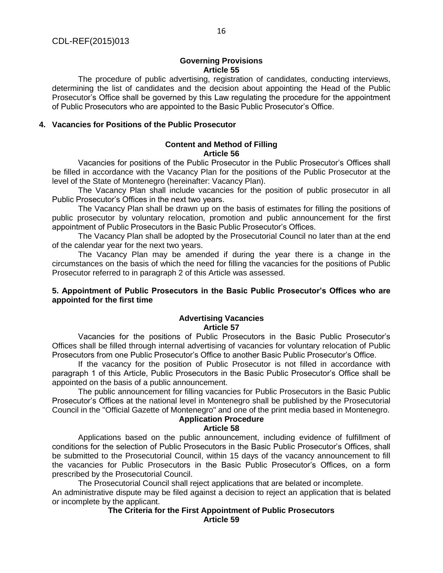#### **Governing Provisions Article 55**

The procedure of public advertising, registration of candidates, conducting interviews, determining the list of candidates and the decision about appointing the Head of the Public Prosecutor's Office shall be governed by this Law regulating the procedure for the appointment of Public Prosecutors who are appointed to the Basic Public Prosecutor's Office.

### **4. Vacancies for Positions of the Public Prosecutor**

### **Content and Method of Filling Article 56**

Vacancies for positions of the Public Prosecutor in the Public Prosecutor's Offices shall be filled in accordance with the Vacancy Plan for the positions of the Public Prosecutor at the level of the State of Montenegro (hereinafter: Vacancy Plan).

The Vacancy Plan shall include vacancies for the position of public prosecutor in all Public Prosecutor's Offices in the next two years.

The Vacancy Plan shall be drawn up on the basis of estimates for filling the positions of public prosecutor by voluntary relocation, promotion and public announcement for the first appointment of Public Prosecutors in the Basic Public Prosecutor's Offices.

The Vacancy Plan shall be adopted by the Prosecutorial Council no later than at the end of the calendar year for the next two years.

The Vacancy Plan may be amended if during the year there is a change in the circumstances on the basis of which the need for filling the vacancies for the positions of Public Prosecutor referred to in paragraph 2 of this Article was assessed.

## **5. Appointment of Public Prosecutors in the Basic Public Prosecutor's Offices who are appointed for the first time**

#### **Advertising Vacancies Article 57**

Vacancies for the positions of Public Prosecutors in the Basic Public Prosecutor's Offices shall be filled through internal advertising of vacancies for voluntary relocation of Public Prosecutors from one Public Prosecutor's Office to another Basic Public Prosecutor's Office.

If the vacancy for the position of Public Prosecutor is not filled in accordance with paragraph 1 of this Article, Public Prosecutors in the Basic Public Prosecutor's Office shall be appointed on the basis of a public announcement.

The public announcement for filling vacancies for Public Prosecutors in the Basic Public Prosecutor's Offices at the national level in Montenegro shall be published by the Prosecutorial Council in the "Official Gazette of Montenegro" and one of the print media based in Montenegro.

# **Application Procedure**

**Article 58**

Applications based on the public announcement, including evidence of fulfillment of conditions for the selection of Public Prosecutors in the Basic Public Prosecutor's Offices, shall be submitted to the Prosecutorial Council, within 15 days of the vacancy announcement to fill the vacancies for Public Prosecutors in the Basic Public Prosecutor's Offices, on a form prescribed by the Prosecutorial Council.

The Prosecutorial Council shall reject applications that are belated or incomplete. An administrative dispute may be filed against a decision to reject an application that is belated or incomplete by the applicant.

#### **The Criteria for the First Appointment of Public Prosecutors Article 59**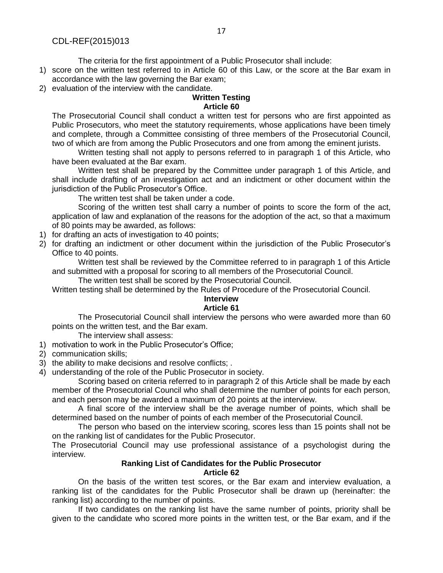The criteria for the first appointment of a Public Prosecutor shall include:

- 1) score on the written test referred to in Article 60 of this Law, or the score at the Bar exam in accordance with the law governing the Bar exam;
- 2) evaluation of the interview with the candidate.

## **Written Testing Article 60**

The Prosecutorial Council shall conduct a written test for persons who are first appointed as Public Prosecutors, who meet the statutory requirements, whose applications have been timely and complete, through a Committee consisting of three members of the Prosecutorial Council, two of which are from among the Public Prosecutors and one from among the eminent jurists.

Written testing shall not apply to persons referred to in paragraph 1 of this Article, who have been evaluated at the Bar exam.

Written test shall be prepared by the Committee under paragraph 1 of this Article, and shall include drafting of an investigation act and an indictment or other document within the jurisdiction of the Public Prosecutor's Office.

The written test shall be taken under a code.

Scoring of the written test shall carry a number of points to score the form of the act, application of law and explanation of the reasons for the adoption of the act, so that a maximum of 80 points may be awarded, as follows:

- 1) for drafting an acts of investigation to 40 points;
- 2) for drafting an indictment or other document within the jurisdiction of the Public Prosecutor's Office to 40 points.

Written test shall be reviewed by the Committee referred to in paragraph 1 of this Article and submitted with a proposal for scoring to all members of the Prosecutorial Council.

The written test shall be scored by the Prosecutorial Council.

Written testing shall be determined by the Rules of Procedure of the Prosecutorial Council.

#### **Interview Article 61**

The Prosecutorial Council shall interview the persons who were awarded more than 60 points on the written test, and the Bar exam.

The interview shall assess:

- 1) motivation to work in the Public Prosecutor's Office;
- 2) communication skills;
- 3) the ability to make decisions and resolve conflicts; .
- 4) understanding of the role of the Public Prosecutor in society.

Scoring based on criteria referred to in paragraph 2 of this Article shall be made by each member of the Prosecutorial Council who shall determine the number of points for each person, and each person may be awarded a maximum of 20 points at the interview.

A final score of the interview shall be the average number of points, which shall be determined based on the number of points of each member of the Prosecutorial Council.

The person who based on the interview scoring, scores less than 15 points shall not be on the ranking list of candidates for the Public Prosecutor.

The Prosecutorial Council may use professional assistance of a psychologist during the interview.

## **Ranking List of Candidates for the Public Prosecutor Article 62**

On the basis of the written test scores, or the Bar exam and interview evaluation, a ranking list of the candidates for the Public Prosecutor shall be drawn up (hereinafter: the ranking list) according to the number of points.

If two candidates on the ranking list have the same number of points, priority shall be given to the candidate who scored more points in the written test, or the Bar exam, and if the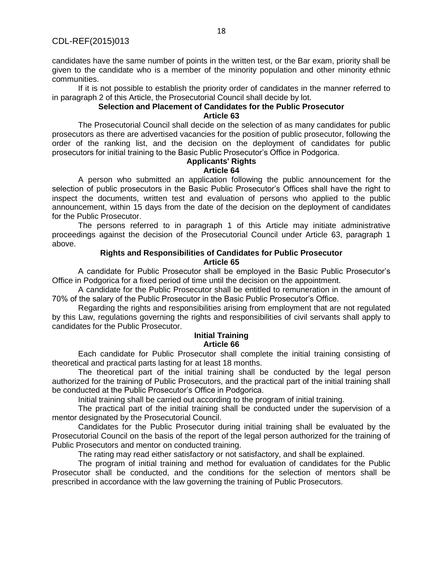candidates have the same number of points in the written test, or the Bar exam, priority shall be given to the candidate who is a member of the minority population and other minority ethnic communities.

If it is not possible to establish the priority order of candidates in the manner referred to in paragraph 2 of this Article, the Prosecutorial Council shall decide by lot.

#### **Selection and Placement of Candidates for the Public Prosecutor Article 63**

The Prosecutorial Council shall decide on the selection of as many candidates for public prosecutors as there are advertised vacancies for the position of public prosecutor, following the order of the ranking list, and the decision on the deployment of candidates for public prosecutors for initial training to the Basic Public Prosecutor's Office in Podgorica.

#### **Applicants' Rights Article 64**

A person who submitted an application following the public announcement for the selection of public prosecutors in the Basic Public Prosecutor's Offices shall have the right to inspect the documents, written test and evaluation of persons who applied to the public announcement, within 15 days from the date of the decision on the deployment of candidates for the Public Prosecutor.

The persons referred to in paragraph 1 of this Article may initiate administrative proceedings against the decision of the Prosecutorial Council under Article 63, paragraph 1 above.

#### **Rights and Responsibilities of Candidates for Public Prosecutor Article 65**

A candidate for Public Prosecutor shall be employed in the Basic Public Prosecutor's Office in Podgorica for a fixed period of time until the decision on the appointment.

A candidate for the Public Prosecutor shall be entitled to remuneration in the amount of 70% of the salary of the Public Prosecutor in the Basic Public Prosecutor's Office.

Regarding the rights and responsibilities arising from employment that are not regulated by this Law, regulations governing the rights and responsibilities of civil servants shall apply to candidates for the Public Prosecutor.

#### **Initial Training Article 66**

Each candidate for Public Prosecutor shall complete the initial training consisting of theoretical and practical parts lasting for at least 18 months.

The theoretical part of the initial training shall be conducted by the legal person authorized for the training of Public Prosecutors, and the practical part of the initial training shall be conducted at the Public Prosecutor's Office in Podgorica.

Initial training shall be carried out according to the program of initial training.

The practical part of the initial training shall be conducted under the supervision of a mentor designated by the Prosecutorial Council.

Candidates for the Public Prosecutor during initial training shall be evaluated by the Prosecutorial Council on the basis of the report of the legal person authorized for the training of Public Prosecutors and mentor on conducted training.

The rating may read either satisfactory or not satisfactory, and shall be explained.

The program of initial training and method for evaluation of candidates for the Public Prosecutor shall be conducted, and the conditions for the selection of mentors shall be prescribed in accordance with the law governing the training of Public Prosecutors.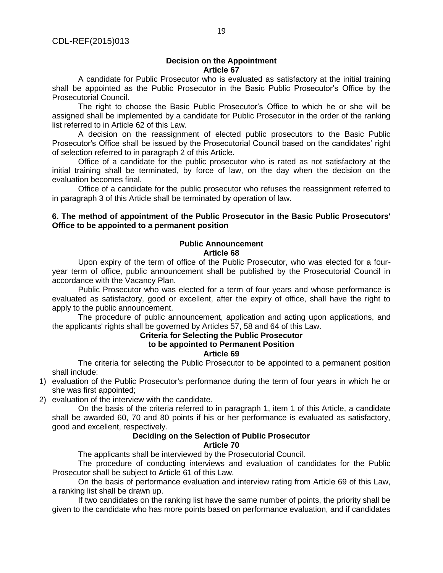#### **Decision on the Appointment Article 67**

A candidate for Public Prosecutor who is evaluated as satisfactory at the initial training shall be appointed as the Public Prosecutor in the Basic Public Prosecutor's Office by the Prosecutorial Council.

The right to choose the Basic Public Prosecutor's Office to which he or she will be assigned shall be implemented by a candidate for Public Prosecutor in the order of the ranking list referred to in Article 62 of this Law.

A decision on the reassignment of elected public prosecutors to the Basic Public Prosecutor's Office shall be issued by the Prosecutorial Council based on the candidates' right of selection referred to in paragraph 2 of this Article.

Office of a candidate for the public prosecutor who is rated as not satisfactory at the initial training shall be terminated, by force of law, on the day when the decision on the evaluation becomes final.

Office of a candidate for the public prosecutor who refuses the reassignment referred to in paragraph 3 of this Article shall be terminated by operation of law.

### **6. The method of appointment of the Public Prosecutor in the Basic Public Prosecutors' Office to be appointed to a permanent position**

## **Public Announcement Article 68**

Upon expiry of the term of office of the Public Prosecutor, who was elected for a fouryear term of office, public announcement shall be published by the Prosecutorial Council in accordance with the Vacancy Plan.

Public Prosecutor who was elected for a term of four years and whose performance is evaluated as satisfactory, good or excellent, after the expiry of office, shall have the right to apply to the public announcement.

The procedure of public announcement, application and acting upon applications, and the applicants' rights shall be governed by Articles 57, 58 and 64 of this Law.

# **Criteria for Selecting the Public Prosecutor**

## **to be appointed to Permanent Position**

## **Article 69**

The criteria for selecting the Public Prosecutor to be appointed to a permanent position shall include:

- 1) evaluation of the Public Prosecutor's performance during the term of four years in which he or she was first appointed;
- 2) evaluation of the interview with the candidate.

On the basis of the criteria referred to in paragraph 1, item 1 of this Article, a candidate shall be awarded 60, 70 and 80 points if his or her performance is evaluated as satisfactory, good and excellent, respectively.

## **Deciding on the Selection of Public Prosecutor Article 70**

The applicants shall be interviewed by the Prosecutorial Council.

The procedure of conducting interviews and evaluation of candidates for the Public Prosecutor shall be subject to Article 61 of this Law.

On the basis of performance evaluation and interview rating from Article 69 of this Law, a ranking list shall be drawn up.

If two candidates on the ranking list have the same number of points, the priority shall be given to the candidate who has more points based on performance evaluation, and if candidates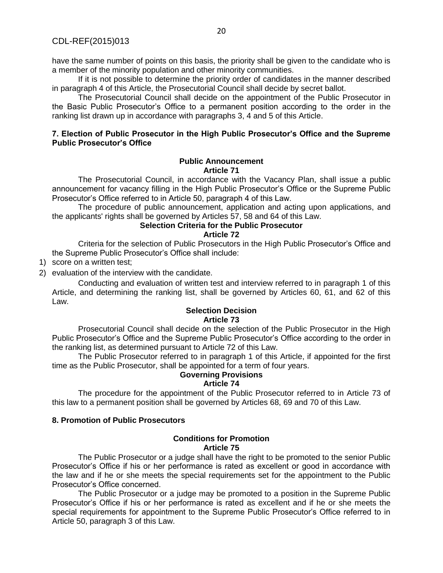have the same number of points on this basis, the priority shall be given to the candidate who is a member of the minority population and other minority communities.

If it is not possible to determine the priority order of candidates in the manner described in paragraph 4 of this Article, the Prosecutorial Council shall decide by secret ballot.

The Prosecutorial Council shall decide on the appointment of the Public Prosecutor in the Basic Public Prosecutor's Office to a permanent position according to the order in the ranking list drawn up in accordance with paragraphs 3, 4 and 5 of this Article.

#### **7. Election of Public Prosecutor in the High Public Prosecutor's Office and the Supreme Public Prosecutor's Office**

#### **Public Announcement Article 71**

The Prosecutorial Council, in accordance with the Vacancy Plan, shall issue a public announcement for vacancy filling in the High Public Prosecutor's Office or the Supreme Public Prosecutor's Office referred to in Article 50, paragraph 4 of this Law.

The procedure of public announcement, application and acting upon applications, and the applicants' rights shall be governed by Articles 57, 58 and 64 of this Law.

# **Selection Criteria for the Public Prosecutor**

## **Article 72**

Criteria for the selection of Public Prosecutors in the High Public Prosecutor's Office and the Supreme Public Prosecutor's Office shall include:

- 1) score on a written test;
- 2) evaluation of the interview with the candidate.

Conducting and evaluation of written test and interview referred to in paragraph 1 of this Article, and determining the ranking list, shall be governed by Articles 60, 61, and 62 of this Law.

#### **Selection Decision Article 73**

Prosecutorial Council shall decide on the selection of the Public Prosecutor in the High Public Prosecutor's Office and the Supreme Public Prosecutor's Office according to the order in the ranking list, as determined pursuant to Article 72 of this Law.

The Public Prosecutor referred to in paragraph 1 of this Article, if appointed for the first time as the Public Prosecutor, shall be appointed for a term of four years.

#### **Governing Provisions Article 74**

The procedure for the appointment of the Public Prosecutor referred to in Article 73 of this law to a permanent position shall be governed by Articles 68, 69 and 70 of this Law.

#### **8. Promotion of Public Prosecutors**

#### **Conditions for Promotion Article 75**

The Public Prosecutor or a judge shall have the right to be promoted to the senior Public Prosecutor's Office if his or her performance is rated as excellent or good in accordance with the law and if he or she meets the special requirements set for the appointment to the Public Prosecutor's Office concerned.

The Public Prosecutor or a judge may be promoted to a position in the Supreme Public Prosecutor's Office if his or her performance is rated as excellent and if he or she meets the special requirements for appointment to the Supreme Public Prosecutor's Office referred to in Article 50, paragraph 3 of this Law.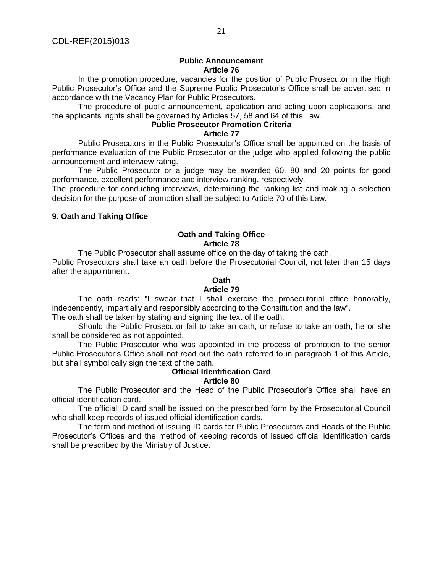#### **Public Announcement Article 76**

In the promotion procedure, vacancies for the position of Public Prosecutor in the High Public Prosecutor's Office and the Supreme Public Prosecutor's Office shall be advertised in accordance with the Vacancy Plan for Public Prosecutors.

The procedure of public announcement, application and acting upon applications, and the applicants' rights shall be governed by Articles 57, 58 and 64 of this Law.

#### **Public Prosecutor Promotion Criteria**

#### **Article 77**

Public Prosecutors in the Public Prosecutor's Office shall be appointed on the basis of performance evaluation of the Public Prosecutor or the judge who applied following the public announcement and interview rating.

The Public Prosecutor or a judge may be awarded 60, 80 and 20 points for good performance, excellent performance and interview ranking, respectively.

The procedure for conducting interviews, determining the ranking list and making a selection decision for the purpose of promotion shall be subject to Article 70 of this Law.

#### **9. Oath and Taking Office**

#### **Oath and Taking Office Article 78**

The Public Prosecutor shall assume office on the day of taking the oath.

Public Prosecutors shall take an oath before the Prosecutorial Council, not later than 15 days after the appointment.

## **Oath**

#### **Article 79**

The oath reads: "I swear that I shall exercise the prosecutorial office honorably, independently, impartially and responsibly according to the Constitution and the law".

The oath shall be taken by stating and signing the text of the oath.

Should the Public Prosecutor fail to take an oath, or refuse to take an oath, he or she shall be considered as not appointed.

The Public Prosecutor who was appointed in the process of promotion to the senior Public Prosecutor's Office shall not read out the oath referred to in paragraph 1 of this Article, but shall symbolically sign the text of the oath.

# **Official Identification Card**

#### **Article 80**

The Public Prosecutor and the Head of the Public Prosecutor's Office shall have an official identification card.

The official ID card shall be issued on the prescribed form by the Prosecutorial Council who shall keep records of issued official identification cards.

The form and method of issuing ID cards for Public Prosecutors and Heads of the Public Prosecutor's Offices and the method of keeping records of issued official identification cards shall be prescribed by the Ministry of Justice.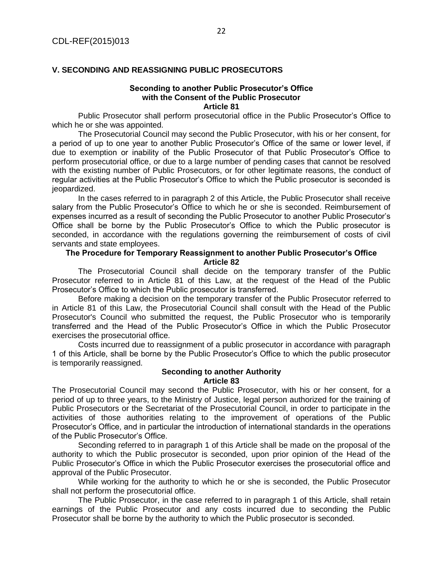### **V. SECONDING AND REASSIGNING PUBLIC PROSECUTORS**

#### **Seconding to another Public Prosecutor's Office with the Consent of the Public Prosecutor Article 81**

Public Prosecutor shall perform prosecutorial office in the Public Prosecutor's Office to which he or she was appointed.

The Prosecutorial Council may second the Public Prosecutor, with his or her consent, for a period of up to one year to another Public Prosecutor's Office of the same or lower level, if due to exemption or inability of the Public Prosecutor of that Public Prosecutor's Office to perform prosecutorial office, or due to a large number of pending cases that cannot be resolved with the existing number of Public Prosecutors, or for other legitimate reasons, the conduct of regular activities at the Public Prosecutor's Office to which the Public prosecutor is seconded is jeopardized.

In the cases referred to in paragraph 2 of this Article, the Public Prosecutor shall receive salary from the Public Prosecutor's Office to which he or she is seconded. Reimbursement of expenses incurred as a result of seconding the Public Prosecutor to another Public Prosecutor's Office shall be borne by the Public Prosecutor's Office to which the Public prosecutor is seconded, in accordance with the regulations governing the reimbursement of costs of civil servants and state employees.

### **The Procedure for Temporary Reassignment to another Public Prosecutor's Office Article 82**

The Prosecutorial Council shall decide on the temporary transfer of the Public Prosecutor referred to in Article 81 of this Law, at the request of the Head of the Public Prosecutor's Office to which the Public prosecutor is transferred.

Before making a decision on the temporary transfer of the Public Prosecutor referred to in Article 81 of this Law, the Prosecutorial Council shall consult with the Head of the Public Prosecutor's Council who submitted the request, the Public Prosecutor who is temporarily transferred and the Head of the Public Prosecutor's Office in which the Public Prosecutor exercises the prosecutorial office.

Costs incurred due to reassignment of a public prosecutor in accordance with paragraph 1 of this Article, shall be borne by the Public Prosecutor's Office to which the public prosecutor is temporarily reassigned.

#### **Seconding to another Authority Article 83**

The Prosecutorial Council may second the Public Prosecutor, with his or her consent, for a period of up to three years, to the Ministry of Justice, legal person authorized for the training of Public Prosecutors or the Secretariat of the Prosecutorial Council, in order to participate in the activities of those authorities relating to the improvement of operations of the Public Prosecutor's Office, and in particular the introduction of international standards in the operations of the Public Prosecutor's Office.

Seconding referred to in paragraph 1 of this Article shall be made on the proposal of the authority to which the Public prosecutor is seconded, upon prior opinion of the Head of the Public Prosecutor's Office in which the Public Prosecutor exercises the prosecutorial office and approval of the Public Prosecutor.

While working for the authority to which he or she is seconded, the Public Prosecutor shall not perform the prosecutorial office.

The Public Prosecutor, in the case referred to in paragraph 1 of this Article, shall retain earnings of the Public Prosecutor and any costs incurred due to seconding the Public Prosecutor shall be borne by the authority to which the Public prosecutor is seconded.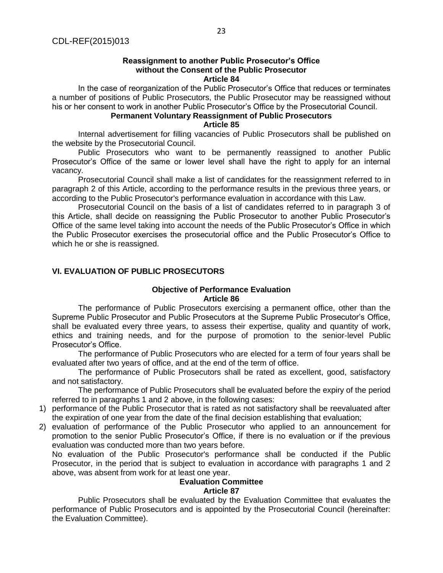#### **Reassignment to another Public Prosecutor's Office without the Consent of the Public Prosecutor Article 84**

In the case of reorganization of the Public Prosecutor's Office that reduces or terminates a number of positions of Public Prosecutors, the Public Prosecutor may be reassigned without his or her consent to work in another Public Prosecutor's Office by the Prosecutorial Council.

## **Permanent Voluntary Reassignment of Public Prosecutors**

**Article 85**

Internal advertisement for filling vacancies of Public Prosecutors shall be published on the website by the Prosecutorial Council.

Public Prosecutors who want to be permanently reassigned to another Public Prosecutor's Office of the same or lower level shall have the right to apply for an internal vacancy.

Prosecutorial Council shall make a list of candidates for the reassignment referred to in paragraph 2 of this Article, according to the performance results in the previous three years, or according to the Public Prosecutor's performance evaluation in accordance with this Law.

Prosecutorial Council on the basis of a list of candidates referred to in paragraph 3 of this Article, shall decide on reassigning the Public Prosecutor to another Public Prosecutor's Office of the same level taking into account the needs of the Public Prosecutor's Office in which the Public Prosecutor exercises the prosecutorial office and the Public Prosecutor's Office to which he or she is reassigned.

## **VI. EVALUATION OF PUBLIC PROSECUTORS**

#### **Objective of Performance Evaluation Article 86**

The performance of Public Prosecutors exercising a permanent office, other than the Supreme Public Prosecutor and Public Prosecutors at the Supreme Public Prosecutor's Office, shall be evaluated every three years, to assess their expertise, quality and quantity of work, ethics and training needs, and for the purpose of promotion to the senior-level Public Prosecutor's Office.

The performance of Public Prosecutors who are elected for a term of four years shall be evaluated after two years of office, and at the end of the term of office.

The performance of Public Prosecutors shall be rated as excellent, good, satisfactory and not satisfactory.

The performance of Public Prosecutors shall be evaluated before the expiry of the period referred to in paragraphs 1 and 2 above, in the following cases:

- 1) performance of the Public Prosecutor that is rated as not satisfactory shall be reevaluated after the expiration of one year from the date of the final decision establishing that evaluation;
- 2) evaluation of performance of the Public Prosecutor who applied to an announcement for promotion to the senior Public Prosecutor's Office, if there is no evaluation or if the previous evaluation was conducted more than two years before.

No evaluation of the Public Prosecutor's performance shall be conducted if the Public Prosecutor, in the period that is subject to evaluation in accordance with paragraphs 1 and 2 above, was absent from work for at least one year.

## **Evaluation Committee Article 87**

Public Prosecutors shall be evaluated by the Evaluation Committee that evaluates the performance of Public Prosecutors and is appointed by the Prosecutorial Council (hereinafter: the Evaluation Committee).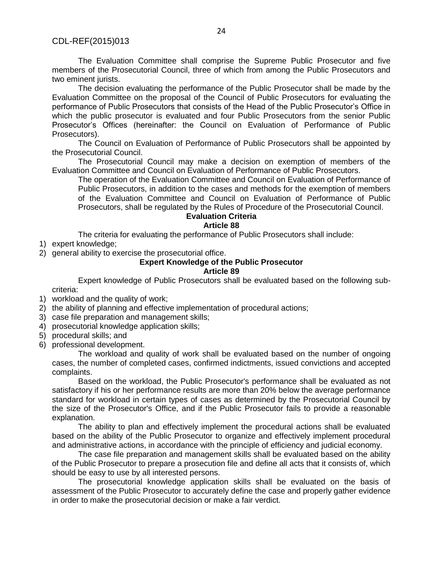The Evaluation Committee shall comprise the Supreme Public Prosecutor and five members of the Prosecutorial Council, three of which from among the Public Prosecutors and two eminent jurists.

The decision evaluating the performance of the Public Prosecutor shall be made by the Evaluation Committee on the proposal of the Council of Public Prosecutors for evaluating the performance of Public Prosecutors that consists of the Head of the Public Prosecutor's Office in which the public prosecutor is evaluated and four Public Prosecutors from the senior Public Prosecutor's Offices (hereinafter: the Council on Evaluation of Performance of Public Prosecutors).

The Council on Evaluation of Performance of Public Prosecutors shall be appointed by the Prosecutorial Council.

The Prosecutorial Council may make a decision on exemption of members of the Evaluation Committee and Council on Evaluation of Performance of Public Prosecutors.

The operation of the Evaluation Committee and Council on Evaluation of Performance of Public Prosecutors, in addition to the cases and methods for the exemption of members of the Evaluation Committee and Council on Evaluation of Performance of Public Prosecutors, shall be regulated by the Rules of Procedure of the Prosecutorial Council.

# **Evaluation Criteria**

## **Article 88**

The criteria for evaluating the performance of Public Prosecutors shall include:

- 1) expert knowledge;
- 2) general ability to exercise the prosecutorial office.

## **Expert Knowledge of the Public Prosecutor**

#### **Article 89**

Expert knowledge of Public Prosecutors shall be evaluated based on the following subcriteria:

- 1) workload and the quality of work;
- 2) the ability of planning and effective implementation of procedural actions;
- 3) case file preparation and management skills;
- 4) prosecutorial knowledge application skills;
- 5) procedural skills; and
- 6) professional development.

The workload and quality of work shall be evaluated based on the number of ongoing cases, the number of completed cases, confirmed indictments, issued convictions and accepted complaints.

Based on the workload, the Public Prosecutor's performance shall be evaluated as not satisfactory if his or her performance results are more than 20% below the average performance standard for workload in certain types of cases as determined by the Prosecutorial Council by the size of the Prosecutor's Office, and if the Public Prosecutor fails to provide a reasonable explanation.

The ability to plan and effectively implement the procedural actions shall be evaluated based on the ability of the Public Prosecutor to organize and effectively implement procedural and administrative actions, in accordance with the principle of efficiency and judicial economy.

The case file preparation and management skills shall be evaluated based on the ability of the Public Prosecutor to prepare a prosecution file and define all acts that it consists of, which should be easy to use by all interested persons.

The prosecutorial knowledge application skills shall be evaluated on the basis of assessment of the Public Prosecutor to accurately define the case and properly gather evidence in order to make the prosecutorial decision or make a fair verdict.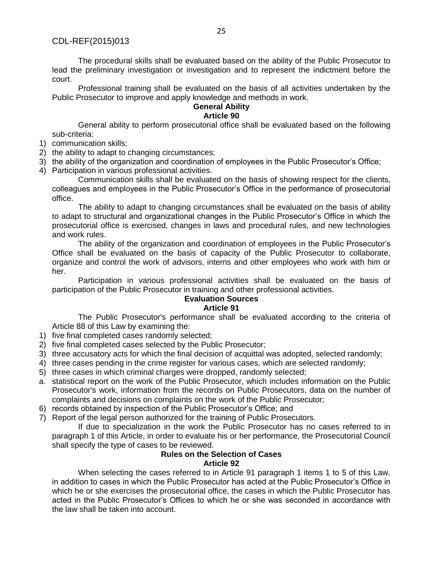The procedural skills shall be evaluated based on the ability of the Public Prosecutor to lead the preliminary investigation or investigation and to represent the indictment before the court.

Professional training shall be evaluated on the basis of all activities undertaken by the Public Prosecutor to improve and apply knowledge and methods in work.

# **General Ability**

## **Article 90**

General ability to perform prosecutorial office shall be evaluated based on the following sub-criteria:

- 1) communication skills;
- 2) the ability to adapt to changing circumstances;
- 3) the ability of the organization and coordination of employees in the Public Prosecutor's Office;
- 4) Participation in various professional activities.

Communication skills shall be evaluated on the basis of showing respect for the clients, colleagues and employees in the Public Prosecutor's Office in the performance of prosecutorial office.

The ability to adapt to changing circumstances shall be evaluated on the basis of ability to adapt to structural and organizational changes in the Public Prosecutor's Office in which the prosecutorial office is exercised, changes in laws and procedural rules, and new technologies and work rules.

The ability of the organization and coordination of employees in the Public Prosecutor's Office shall be evaluated on the basis of capacity of the Public Prosecutor to collaborate, organize and control the work of advisors, interns and other employees who work with him or her.

Participation in various professional activities shall be evaluated on the basis of participation of the Public Prosecutor in training and other professional activities.

# **Evaluation Sources**

#### **Article 91**

The Public Prosecutor's performance shall be evaluated according to the criteria of Article 88 of this Law by examining the:

- 1) five final completed cases randomly selected;
- 2) five final completed cases selected by the Public Prosecutor;
- 3) three accusatory acts for which the final decision of acquittal was adopted, selected randomly;
- 4) three cases pending in the crime register for various cases, which are selected randomly;
- 5) three cases in which criminal charges were dropped, randomly selected;
- a. statistical report on the work of the Public Prosecutor, which includes information on the Public Prosecutor's work, information from the records on Public Prosecutors, data on the number of complaints and decisions on complaints on the work of the Public Prosecutor;
- 6) records obtained by inspection of the Public Prosecutor's Office; and
- 7) Report of the legal person authorized for the training of Public Prosecutors.

If due to specialization in the work the Public Prosecutor has no cases referred to in paragraph 1 of this Article, in order to evaluate his or her performance, the Prosecutorial Council shall specify the type of cases to be reviewed.

# **Rules on the Selection of Cases**

#### **Article 92**

When selecting the cases referred to in Article 91 paragraph 1 items 1 to 5 of this Law, in addition to cases in which the Public Prosecutor has acted at the Public Prosecutor's Office in which he or she exercises the prosecutorial office, the cases in which the Public Prosecutor has acted in the Public Prosecutor's Offices to which he or she was seconded in accordance with the law shall be taken into account.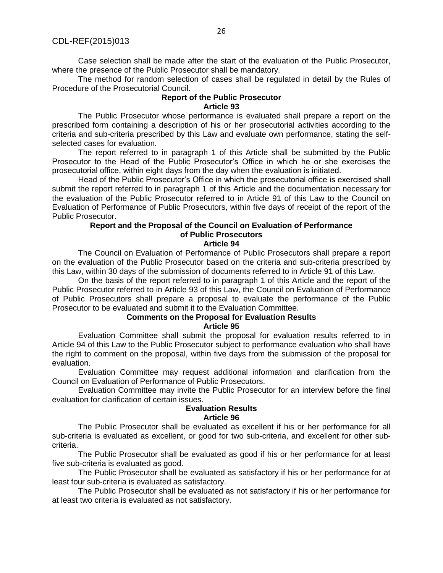Case selection shall be made after the start of the evaluation of the Public Prosecutor, where the presence of the Public Prosecutor shall be mandatory.

The method for random selection of cases shall be regulated in detail by the Rules of Procedure of the Prosecutorial Council.

#### **Report of the Public Prosecutor Article 93**

The Public Prosecutor whose performance is evaluated shall prepare a report on the prescribed form containing a description of his or her prosecutorial activities according to the criteria and sub-criteria prescribed by this Law and evaluate own performance, stating the selfselected cases for evaluation.

The report referred to in paragraph 1 of this Article shall be submitted by the Public Prosecutor to the Head of the Public Prosecutor's Office in which he or she exercises the prosecutorial office, within eight days from the day when the evaluation is initiated.

Head of the Public Prosecutor's Office in which the prosecutorial office is exercised shall submit the report referred to in paragraph 1 of this Article and the documentation necessary for the evaluation of the Public Prosecutor referred to in Article 91 of this Law to the Council on Evaluation of Performance of Public Prosecutors, within five days of receipt of the report of the Public Prosecutor.

# **Report and the Proposal of the Council on Evaluation of Performance of Public Prosecutors**

**Article 94**

The Council on Evaluation of Performance of Public Prosecutors shall prepare a report on the evaluation of the Public Prosecutor based on the criteria and sub-criteria prescribed by this Law, within 30 days of the submission of documents referred to in Article 91 of this Law.

On the basis of the report referred to in paragraph 1 of this Article and the report of the Public Prosecutor referred to in Article 93 of this Law, the Council on Evaluation of Performance of Public Prosecutors shall prepare a proposal to evaluate the performance of the Public Prosecutor to be evaluated and submit it to the Evaluation Committee.

#### **Comments on the Proposal for Evaluation Results Article 95**

Evaluation Committee shall submit the proposal for evaluation results referred to in Article 94 of this Law to the Public Prosecutor subject to performance evaluation who shall have the right to comment on the proposal, within five days from the submission of the proposal for evaluation.

Evaluation Committee may request additional information and clarification from the Council on Evaluation of Performance of Public Prosecutors.

Evaluation Committee may invite the Public Prosecutor for an interview before the final evaluation for clarification of certain issues.

## **Evaluation Results**

#### **Article 96**

The Public Prosecutor shall be evaluated as excellent if his or her performance for all sub-criteria is evaluated as excellent, or good for two sub-criteria, and excellent for other subcriteria.

The Public Prosecutor shall be evaluated as good if his or her performance for at least five sub-criteria is evaluated as good.

The Public Prosecutor shall be evaluated as satisfactory if his or her performance for at least four sub-criteria is evaluated as satisfactory.

The Public Prosecutor shall be evaluated as not satisfactory if his or her performance for at least two criteria is evaluated as not satisfactory.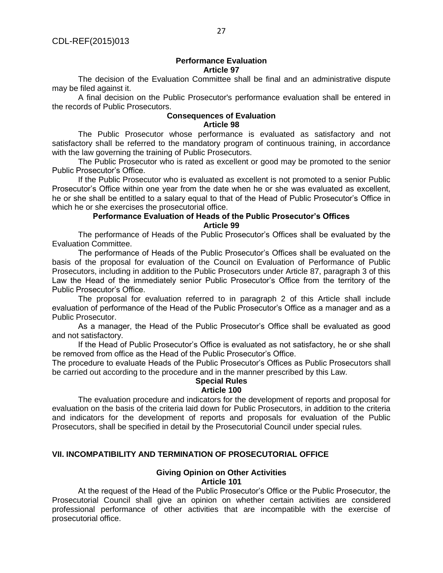#### **Performance Evaluation Article 97**

The decision of the Evaluation Committee shall be final and an administrative dispute may be filed against it.

A final decision on the Public Prosecutor's performance evaluation shall be entered in the records of Public Prosecutors.

#### **Consequences of Evaluation Article 98**

The Public Prosecutor whose performance is evaluated as satisfactory and not satisfactory shall be referred to the mandatory program of continuous training, in accordance with the law governing the training of Public Prosecutors.

The Public Prosecutor who is rated as excellent or good may be promoted to the senior Public Prosecutor's Office.

If the Public Prosecutor who is evaluated as excellent is not promoted to a senior Public Prosecutor's Office within one year from the date when he or she was evaluated as excellent, he or she shall be entitled to a salary equal to that of the Head of Public Prosecutor's Office in which he or she exercises the prosecutorial office.

#### **Performance Evaluation of Heads of the Public Prosecutor's Offices Article 99**

The performance of Heads of the Public Prosecutor's Offices shall be evaluated by the Evaluation Committee.

The performance of Heads of the Public Prosecutor's Offices shall be evaluated on the basis of the proposal for evaluation of the Council on Evaluation of Performance of Public Prosecutors, including in addition to the Public Prosecutors under Article 87, paragraph 3 of this Law the Head of the immediately senior Public Prosecutor's Office from the territory of the Public Prosecutor's Office.

The proposal for evaluation referred to in paragraph 2 of this Article shall include evaluation of performance of the Head of the Public Prosecutor's Office as a manager and as a Public Prosecutor.

As a manager, the Head of the Public Prosecutor's Office shall be evaluated as good and not satisfactory.

If the Head of Public Prosecutor's Office is evaluated as not satisfactory, he or she shall be removed from office as the Head of the Public Prosecutor's Office.

The procedure to evaluate Heads of the Public Prosecutor's Offices as Public Prosecutors shall be carried out according to the procedure and in the manner prescribed by this Law.

#### **Special Rules Article 100**

The evaluation procedure and indicators for the development of reports and proposal for evaluation on the basis of the criteria laid down for Public Prosecutors, in addition to the criteria and indicators for the development of reports and proposals for evaluation of the Public Prosecutors, shall be specified in detail by the Prosecutorial Council under special rules.

## **VII. INCOMPATIBILITY AND TERMINATION OF PROSECUTORIAL OFFICE**

## **Giving Opinion on Other Activities Article 101**

At the request of the Head of the Public Prosecutor's Office or the Public Prosecutor, the Prosecutorial Council shall give an opinion on whether certain activities are considered professional performance of other activities that are incompatible with the exercise of prosecutorial office.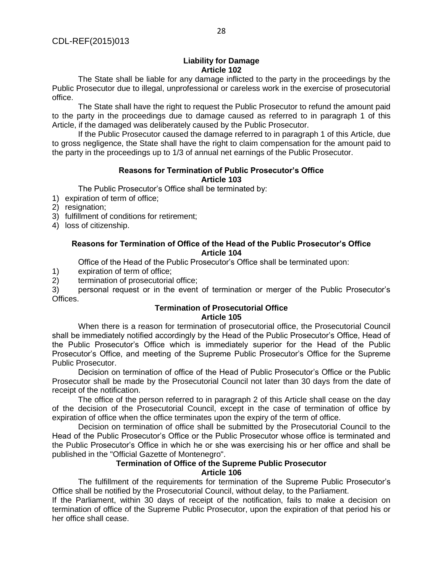#### **Liability for Damage Article 102**

The State shall be liable for any damage inflicted to the party in the proceedings by the Public Prosecutor due to illegal, unprofessional or careless work in the exercise of prosecutorial office.

The State shall have the right to request the Public Prosecutor to refund the amount paid to the party in the proceedings due to damage caused as referred to in paragraph 1 of this Article, if the damaged was deliberately caused by the Public Prosecutor.

If the Public Prosecutor caused the damage referred to in paragraph 1 of this Article, due to gross negligence, the State shall have the right to claim compensation for the amount paid to the party in the proceedings up to 1/3 of annual net earnings of the Public Prosecutor.

#### **Reasons for Termination of Public Prosecutor's Office Article 103**

The Public Prosecutor's Office shall be terminated by:

- 1) expiration of term of office;
- 2) resignation;
- 3) fulfillment of conditions for retirement;
- 4) loss of citizenship.

## **Reasons for Termination of Office of the Head of the Public Prosecutor's Office Article 104**

Office of the Head of the Public Prosecutor's Office shall be terminated upon:

- 1) expiration of term of office;
- 2) termination of prosecutorial office;

3) personal request or in the event of termination or merger of the Public Prosecutor's Offices.

#### **Termination of Prosecutorial Office Article 105**

When there is a reason for termination of prosecutorial office, the Prosecutorial Council shall be immediately notified accordingly by the Head of the Public Prosecutor's Office, Head of the Public Prosecutor's Office which is immediately superior for the Head of the Public Prosecutor's Office, and meeting of the Supreme Public Prosecutor's Office for the Supreme Public Prosecutor.

Decision on termination of office of the Head of Public Prosecutor's Office or the Public Prosecutor shall be made by the Prosecutorial Council not later than 30 days from the date of receipt of the notification.

The office of the person referred to in paragraph 2 of this Article shall cease on the day of the decision of the Prosecutorial Council, except in the case of termination of office by expiration of office when the office terminates upon the expiry of the term of office.

Decision on termination of office shall be submitted by the Prosecutorial Council to the Head of the Public Prosecutor's Office or the Public Prosecutor whose office is terminated and the Public Prosecutor's Office in which he or she was exercising his or her office and shall be published in the "Official Gazette of Montenegro".

## **Termination of Office of the Supreme Public Prosecutor Article 106**

The fulfillment of the requirements for termination of the Supreme Public Prosecutor's Office shall be notified by the Prosecutorial Council, without delay, to the Parliament.

If the Parliament, within 30 days of receipt of the notification, fails to make a decision on termination of office of the Supreme Public Prosecutor, upon the expiration of that period his or her office shall cease.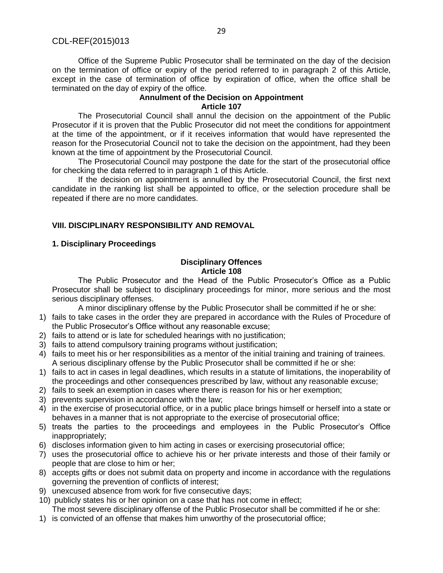Office of the Supreme Public Prosecutor shall be terminated on the day of the decision on the termination of office or expiry of the period referred to in paragraph 2 of this Article, except in the case of termination of office by expiration of office, when the office shall be terminated on the day of expiry of the office.

## **Annulment of the Decision on Appointment Article 107**

The Prosecutorial Council shall annul the decision on the appointment of the Public Prosecutor if it is proven that the Public Prosecutor did not meet the conditions for appointment at the time of the appointment, or if it receives information that would have represented the reason for the Prosecutorial Council not to take the decision on the appointment, had they been known at the time of appointment by the Prosecutorial Council.

The Prosecutorial Council may postpone the date for the start of the prosecutorial office for checking the data referred to in paragraph 1 of this Article.

If the decision on appointment is annulled by the Prosecutorial Council, the first next candidate in the ranking list shall be appointed to office, or the selection procedure shall be repeated if there are no more candidates.

## **VIII. DISCIPLINARY RESPONSIBILITY AND REMOVAL**

## **1. Disciplinary Proceedings**

#### **Disciplinary Offences Article 108**

The Public Prosecutor and the Head of the Public Prosecutor's Office as a Public Prosecutor shall be subject to disciplinary proceedings for minor, more serious and the most serious disciplinary offenses.

A minor disciplinary offense by the Public Prosecutor shall be committed if he or she:

- 1) fails to take cases in the order they are prepared in accordance with the Rules of Procedure of the Public Prosecutor's Office without any reasonable excuse;
- 2) fails to attend or is late for scheduled hearings with no justification;
- 3) fails to attend compulsory training programs without justification;
- 4) fails to meet his or her responsibilities as a mentor of the initial training and training of trainees. A serious disciplinary offense by the Public Prosecutor shall be committed if he or she:
- 1) fails to act in cases in legal deadlines, which results in a statute of limitations, the inoperability of the proceedings and other consequences prescribed by law, without any reasonable excuse;
- 2) fails to seek an exemption in cases where there is reason for his or her exemption;
- 3) prevents supervision in accordance with the law;
- 4) in the exercise of prosecutorial office, or in a public place brings himself or herself into a state or behaves in a manner that is not appropriate to the exercise of prosecutorial office;
- 5) treats the parties to the proceedings and employees in the Public Prosecutor's Office inappropriately;
- 6) discloses information given to him acting in cases or exercising prosecutorial office;
- 7) uses the prosecutorial office to achieve his or her private interests and those of their family or people that are close to him or her;
- 8) accepts gifts or does not submit data on property and income in accordance with the regulations governing the prevention of conflicts of interest;
- 9) unexcused absence from work for five consecutive days;
- 10) publicly states his or her opinion on a case that has not come in effect;
- The most severe disciplinary offense of the Public Prosecutor shall be committed if he or she:
- 1) is convicted of an offense that makes him unworthy of the prosecutorial office;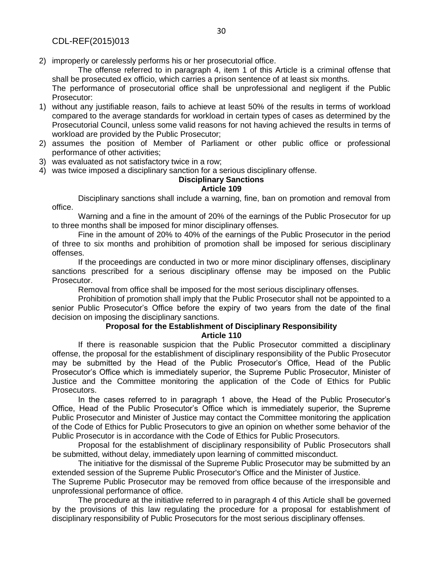CDL-REF(2015)013

2) improperly or carelessly performs his or her prosecutorial office.

The offense referred to in paragraph 4, item 1 of this Article is a criminal offense that shall be prosecuted ex officio, which carries a prison sentence of at least six months.

The performance of prosecutorial office shall be unprofessional and negligent if the Public Prosecutor:

- 1) without any justifiable reason, fails to achieve at least 50% of the results in terms of workload compared to the average standards for workload in certain types of cases as determined by the Prosecutorial Council, unless some valid reasons for not having achieved the results in terms of workload are provided by the Public Prosecutor;
- 2) assumes the position of Member of Parliament or other public office or professional performance of other activities;
- 3) was evaluated as not satisfactory twice in a row;
- 4) was twice imposed a disciplinary sanction for a serious disciplinary offense.

#### **Disciplinary Sanctions Article 109**

Disciplinary sanctions shall include a warning, fine, ban on promotion and removal from office.

Warning and a fine in the amount of 20% of the earnings of the Public Prosecutor for up to three months shall be imposed for minor disciplinary offenses.

Fine in the amount of 20% to 40% of the earnings of the Public Prosecutor in the period of three to six months and prohibition of promotion shall be imposed for serious disciplinary offenses.

If the proceedings are conducted in two or more minor disciplinary offenses, disciplinary sanctions prescribed for a serious disciplinary offense may be imposed on the Public Prosecutor.

Removal from office shall be imposed for the most serious disciplinary offenses.

Prohibition of promotion shall imply that the Public Prosecutor shall not be appointed to a senior Public Prosecutor's Office before the expiry of two years from the date of the final decision on imposing the disciplinary sanctions.

## **Proposal for the Establishment of Disciplinary Responsibility**

#### **Article 110**

If there is reasonable suspicion that the Public Prosecutor committed a disciplinary offense, the proposal for the establishment of disciplinary responsibility of the Public Prosecutor may be submitted by the Head of the Public Prosecutor's Office, Head of the Public Prosecutor's Office which is immediately superior, the Supreme Public Prosecutor, Minister of Justice and the Committee monitoring the application of the Code of Ethics for Public Prosecutors.

In the cases referred to in paragraph 1 above, the Head of the Public Prosecutor's Office, Head of the Public Prosecutor's Office which is immediately superior, the Supreme Public Prosecutor and Minister of Justice may contact the Committee monitoring the application of the Code of Ethics for Public Prosecutors to give an opinion on whether some behavior of the Public Prosecutor is in accordance with the Code of Ethics for Public Prosecutors.

Proposal for the establishment of disciplinary responsibility of Public Prosecutors shall be submitted, without delay, immediately upon learning of committed misconduct.

The initiative for the dismissal of the Supreme Public Prosecutor may be submitted by an extended session of the Supreme Public Prosecutor's Office and the Minister of Justice.

The Supreme Public Prosecutor may be removed from office because of the irresponsible and unprofessional performance of office.

The procedure at the initiative referred to in paragraph 4 of this Article shall be governed by the provisions of this law regulating the procedure for a proposal for establishment of disciplinary responsibility of Public Prosecutors for the most serious disciplinary offenses.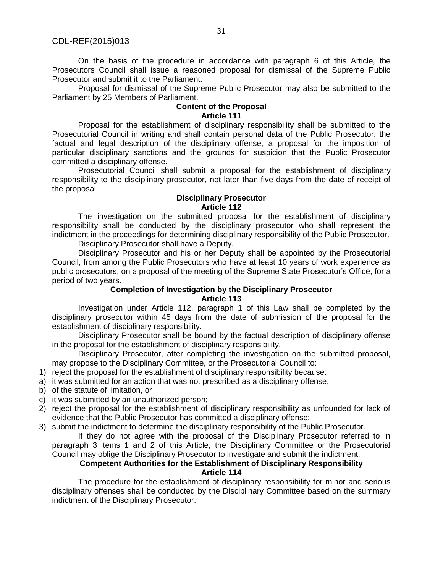On the basis of the procedure in accordance with paragraph 6 of this Article, the Prosecutors Council shall issue a reasoned proposal for dismissal of the Supreme Public Prosecutor and submit it to the Parliament.

Proposal for dismissal of the Supreme Public Prosecutor may also be submitted to the Parliament by 25 Members of Parliament.

#### **Content of the Proposal Article 111**

Proposal for the establishment of disciplinary responsibility shall be submitted to the Prosecutorial Council in writing and shall contain personal data of the Public Prosecutor, the factual and legal description of the disciplinary offense, a proposal for the imposition of particular disciplinary sanctions and the grounds for suspicion that the Public Prosecutor committed a disciplinary offense.

Prosecutorial Council shall submit a proposal for the establishment of disciplinary responsibility to the disciplinary prosecutor, not later than five days from the date of receipt of the proposal.

#### **Disciplinary Prosecutor Article 112**

The investigation on the submitted proposal for the establishment of disciplinary responsibility shall be conducted by the disciplinary prosecutor who shall represent the indictment in the proceedings for determining disciplinary responsibility of the Public Prosecutor.

Disciplinary Prosecutor shall have a Deputy.

Disciplinary Prosecutor and his or her Deputy shall be appointed by the Prosecutorial Council, from among the Public Prosecutors who have at least 10 years of work experience as public prosecutors, on a proposal of the meeting of the Supreme State Prosecutor's Office, for a period of two years.

## **Completion of Investigation by the Disciplinary Prosecutor Article 113**

Investigation under Article 112, paragraph 1 of this Law shall be completed by the disciplinary prosecutor within 45 days from the date of submission of the proposal for the establishment of disciplinary responsibility.

Disciplinary Prosecutor shall be bound by the factual description of disciplinary offense in the proposal for the establishment of disciplinary responsibility.

Disciplinary Prosecutor, after completing the investigation on the submitted proposal, may propose to the Disciplinary Committee, or the Prosecutorial Council to:

- 1) reject the proposal for the establishment of disciplinary responsibility because:
- a) it was submitted for an action that was not prescribed as a disciplinary offense,
- b) of the statute of limitation, or
- c) it was submitted by an unauthorized person;
- 2) reject the proposal for the establishment of disciplinary responsibility as unfounded for lack of evidence that the Public Prosecutor has committed a disciplinary offense;
- 3) submit the indictment to determine the disciplinary responsibility of the Public Prosecutor.

If they do not agree with the proposal of the Disciplinary Prosecutor referred to in paragraph 3 items 1 and 2 of this Article, the Disciplinary Committee or the Prosecutorial Council may oblige the Disciplinary Prosecutor to investigate and submit the indictment.

#### **Competent Authorities for the Establishment of Disciplinary Responsibility**

#### **Article 114**

The procedure for the establishment of disciplinary responsibility for minor and serious disciplinary offenses shall be conducted by the Disciplinary Committee based on the summary indictment of the Disciplinary Prosecutor.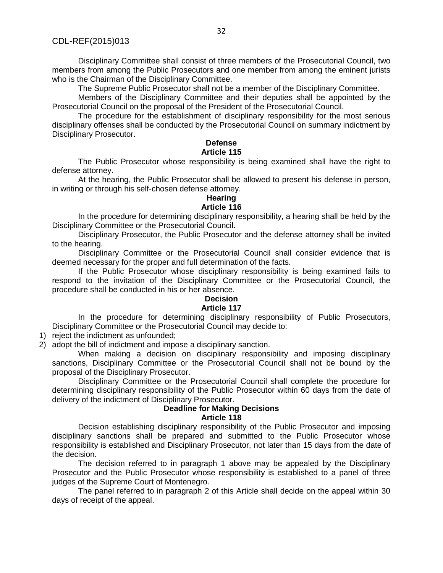Disciplinary Committee shall consist of three members of the Prosecutorial Council, two members from among the Public Prosecutors and one member from among the eminent jurists who is the Chairman of the Disciplinary Committee.

The Supreme Public Prosecutor shall not be a member of the Disciplinary Committee.

Members of the Disciplinary Committee and their deputies shall be appointed by the Prosecutorial Council on the proposal of the President of the Prosecutorial Council.

The procedure for the establishment of disciplinary responsibility for the most serious disciplinary offenses shall be conducted by the Prosecutorial Council on summary indictment by Disciplinary Prosecutor.

# **Defense**

# **Article 115**

The Public Prosecutor whose responsibility is being examined shall have the right to defense attorney.

At the hearing, the Public Prosecutor shall be allowed to present his defense in person, in writing or through his self-chosen defense attorney.

# **Hearing**

# **Article 116**

In the procedure for determining disciplinary responsibility, a hearing shall be held by the Disciplinary Committee or the Prosecutorial Council.

Disciplinary Prosecutor, the Public Prosecutor and the defense attorney shall be invited to the hearing.

Disciplinary Committee or the Prosecutorial Council shall consider evidence that is deemed necessary for the proper and full determination of the facts.

If the Public Prosecutor whose disciplinary responsibility is being examined fails to respond to the invitation of the Disciplinary Committee or the Prosecutorial Council, the procedure shall be conducted in his or her absence.

# **Decision**

## **Article 117**

In the procedure for determining disciplinary responsibility of Public Prosecutors, Disciplinary Committee or the Prosecutorial Council may decide to:

1) reject the indictment as unfounded;

2) adopt the bill of indictment and impose a disciplinary sanction.

When making a decision on disciplinary responsibility and imposing disciplinary sanctions, Disciplinary Committee or the Prosecutorial Council shall not be bound by the proposal of the Disciplinary Prosecutor.

Disciplinary Committee or the Prosecutorial Council shall complete the procedure for determining disciplinary responsibility of the Public Prosecutor within 60 days from the date of delivery of the indictment of Disciplinary Prosecutor.

## **Deadline for Making Decisions**

## **Article 118**

Decision establishing disciplinary responsibility of the Public Prosecutor and imposing disciplinary sanctions shall be prepared and submitted to the Public Prosecutor whose responsibility is established and Disciplinary Prosecutor, not later than 15 days from the date of the decision.

The decision referred to in paragraph 1 above may be appealed by the Disciplinary Prosecutor and the Public Prosecutor whose responsibility is established to a panel of three judges of the Supreme Court of Montenegro.

The panel referred to in paragraph 2 of this Article shall decide on the appeal within 30 days of receipt of the appeal.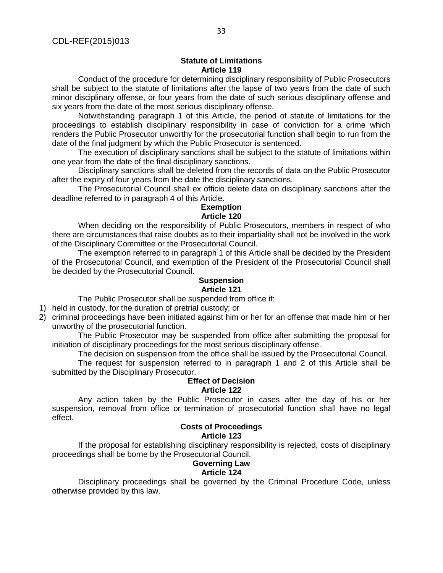#### **Statute of Limitations Article 119**

Conduct of the procedure for determining disciplinary responsibility of Public Prosecutors shall be subject to the statute of limitations after the lapse of two years from the date of such minor disciplinary offense, or four years from the date of such serious disciplinary offense and six years from the date of the most serious disciplinary offense.

Notwithstanding paragraph 1 of this Article, the period of statute of limitations for the proceedings to establish disciplinary responsibility in case of conviction for a crime which renders the Public Prosecutor unworthy for the prosecutorial function shall begin to run from the date of the final judgment by which the Public Prosecutor is sentenced.

The execution of disciplinary sanctions shall be subject to the statute of limitations within one year from the date of the final disciplinary sanctions.

Disciplinary sanctions shall be deleted from the records of data on the Public Prosecutor after the expiry of four years from the date the disciplinary sanctions.

The Prosecutorial Council shall ex officio delete data on disciplinary sanctions after the deadline referred to in paragraph 4 of this Article.

# **Exemption Article 120**

When deciding on the responsibility of Public Prosecutors, members in respect of who there are circumstances that raise doubts as to their impartiality shall not be involved in the work of the Disciplinary Committee or the Prosecutorial Council.

The exemption referred to in paragraph 1 of this Article shall be decided by the President of the Prosecutorial Council, and exemption of the President of the Prosecutorial Council shall be decided by the Prosecutorial Council.

#### **Suspension Article 121**

The Public Prosecutor shall be suspended from office if:

- 1) held in custody, for the duration of pretrial custody; or
- 2) criminal proceedings have been initiated against him or her for an offense that made him or her unworthy of the prosecutorial function.

The Public Prosecutor may be suspended from office after submitting the proposal for initiation of disciplinary proceedings for the most serious disciplinary offense.

The decision on suspension from the office shall be issued by the Prosecutorial Council.

The request for suspension referred to in paragraph 1 and 2 of this Article shall be submitted by the Disciplinary Prosecutor.

#### **Effect of Decision Article 122**

Any action taken by the Public Prosecutor in cases after the day of his or her suspension, removal from office or termination of prosecutorial function shall have no legal effect.

# **Costs of Proceedings**

# **Article 123**

If the proposal for establishing disciplinary responsibility is rejected, costs of disciplinary proceedings shall be borne by the Prosecutorial Council.

# **Governing Law**

# **Article 124**

Disciplinary proceedings shall be governed by the Criminal Procedure Code, unless otherwise provided by this law.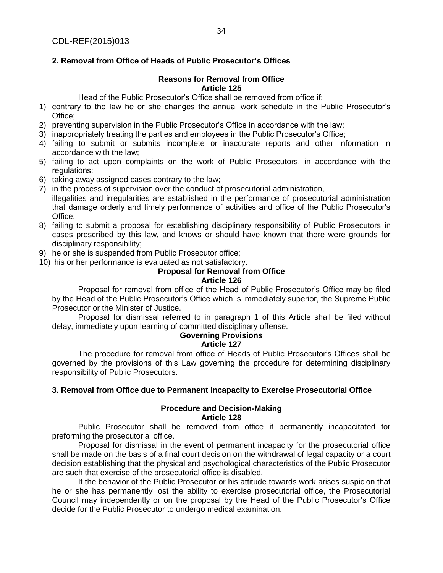## **2. Removal from Office of Heads of Public Prosecutor's Offices**

#### **Reasons for Removal from Office Article 125**

Head of the Public Prosecutor's Office shall be removed from office if:

- 1) contrary to the law he or she changes the annual work schedule in the Public Prosecutor's Office;
- 2) preventing supervision in the Public Prosecutor's Office in accordance with the law;
- 3) inappropriately treating the parties and employees in the Public Prosecutor's Office;
- 4) failing to submit or submits incomplete or inaccurate reports and other information in accordance with the law;
- 5) failing to act upon complaints on the work of Public Prosecutors, in accordance with the regulations;
- 6) taking away assigned cases contrary to the law;
- 7) in the process of supervision over the conduct of prosecutorial administration, illegalities and irregularities are established in the performance of prosecutorial administration that damage orderly and timely performance of activities and office of the Public Prosecutor's Office.
- 8) failing to submit a proposal for establishing disciplinary responsibility of Public Prosecutors in cases prescribed by this law, and knows or should have known that there were grounds for disciplinary responsibility;
- 9) he or she is suspended from Public Prosecutor office;
- 10) his or her performance is evaluated as not satisfactory.

## **Proposal for Removal from Office**

#### **Article 126**

Proposal for removal from office of the Head of Public Prosecutor's Office may be filed by the Head of the Public Prosecutor's Office which is immediately superior, the Supreme Public Prosecutor or the Minister of Justice.

Proposal for dismissal referred to in paragraph 1 of this Article shall be filed without delay, immediately upon learning of committed disciplinary offense.

#### **Governing Provisions**

## **Article 127**

The procedure for removal from office of Heads of Public Prosecutor's Offices shall be governed by the provisions of this Law governing the procedure for determining disciplinary responsibility of Public Prosecutors.

#### **3. Removal from Office due to Permanent Incapacity to Exercise Prosecutorial Office**

#### **Procedure and Decision-Making Article 128**

Public Prosecutor shall be removed from office if permanently incapacitated for preforming the prosecutorial office.

Proposal for dismissal in the event of permanent incapacity for the prosecutorial office shall be made on the basis of a final court decision on the withdrawal of legal capacity or a court decision establishing that the physical and psychological characteristics of the Public Prosecutor are such that exercise of the prosecutorial office is disabled.

If the behavior of the Public Prosecutor or his attitude towards work arises suspicion that he or she has permanently lost the ability to exercise prosecutorial office, the Prosecutorial Council may independently or on the proposal by the Head of the Public Prosecutor's Office decide for the Public Prosecutor to undergo medical examination.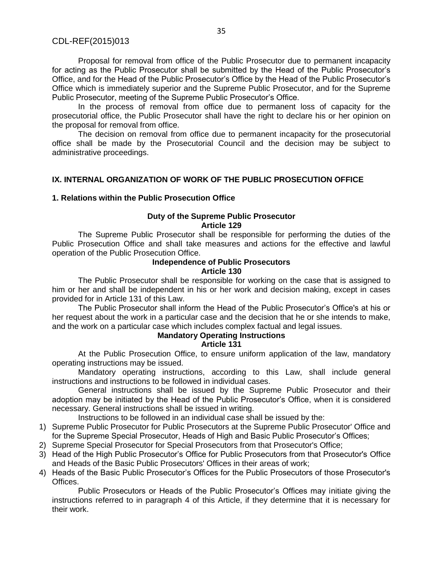Proposal for removal from office of the Public Prosecutor due to permanent incapacity for acting as the Public Prosecutor shall be submitted by the Head of the Public Prosecutor's Office, and for the Head of the Public Prosecutor's Office by the Head of the Public Prosecutor's Office which is immediately superior and the Supreme Public Prosecutor, and for the Supreme Public Prosecutor, meeting of the Supreme Public Prosecutor's Office.

In the process of removal from office due to permanent loss of capacity for the prosecutorial office, the Public Prosecutor shall have the right to declare his or her opinion on the proposal for removal from office.

The decision on removal from office due to permanent incapacity for the prosecutorial office shall be made by the Prosecutorial Council and the decision may be subject to administrative proceedings.

### **IX. INTERNAL ORGANIZATION OF WORK OF THE PUBLIC PROSECUTION OFFICE**

#### **1. Relations within the Public Prosecution Office**

#### **Duty of the Supreme Public Prosecutor Article 129**

The Supreme Public Prosecutor shall be responsible for performing the duties of the Public Prosecution Office and shall take measures and actions for the effective and lawful operation of the Public Prosecution Office.

#### **Independence of Public Prosecutors Article 130**

The Public Prosecutor shall be responsible for working on the case that is assigned to him or her and shall be independent in his or her work and decision making, except in cases provided for in Article 131 of this Law.

The Public Prosecutor shall inform the Head of the Public Prosecutor's Office's at his or her request about the work in a particular case and the decision that he or she intends to make, and the work on a particular case which includes complex factual and legal issues.

#### **Mandatory Operating Instructions**

#### **Article 131**

At the Public Prosecution Office, to ensure uniform application of the law, mandatory operating instructions may be issued.

Mandatory operating instructions, according to this Law, shall include general instructions and instructions to be followed in individual cases.

General instructions shall be issued by the Supreme Public Prosecutor and their adoption may be initiated by the Head of the Public Prosecutor's Office, when it is considered necessary. General instructions shall be issued in writing.

Instructions to be followed in an individual case shall be issued by the:

- 1) Supreme Public Prosecutor for Public Prosecutors at the Supreme Public Prosecutor' Office and for the Supreme Special Prosecutor, Heads of High and Basic Public Prosecutor's Offices;
- 2) Supreme Special Prosecutor for Special Prosecutors from that Prosecutor's Office;
- 3) Head of the High Public Prosecutor's Office for Public Prosecutors from that Prosecutor's Office and Heads of the Basic Public Prosecutors' Offices in their areas of work;
- 4) Heads of the Basic Public Prosecutor's Offices for the Public Prosecutors of those Prosecutor's Offices.

Public Prosecutors or Heads of the Public Prosecutor's Offices may initiate giving the instructions referred to in paragraph 4 of this Article, if they determine that it is necessary for their work.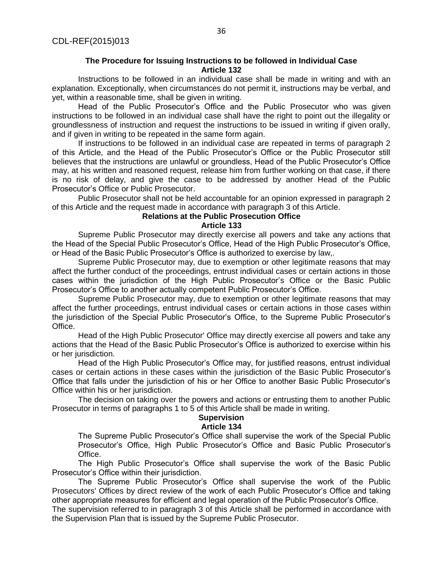#### **The Procedure for Issuing Instructions to be followed in Individual Case Article 132**

Instructions to be followed in an individual case shall be made in writing and with an explanation. Exceptionally, when circumstances do not permit it, instructions may be verbal, and yet, within a reasonable time, shall be given in writing.

Head of the Public Prosecutor's Office and the Public Prosecutor who was given instructions to be followed in an individual case shall have the right to point out the illegality or groundlessness of instruction and request the instructions to be issued in writing if given orally, and if given in writing to be repeated in the same form again.

If instructions to be followed in an individual case are repeated in terms of paragraph 2 of this Article, and the Head of the Public Prosecutor's Office or the Public Prosecutor still believes that the instructions are unlawful or groundless, Head of the Public Prosecutor's Office may, at his written and reasoned request, release him from further working on that case, if there is no risk of delay, and give the case to be addressed by another Head of the Public Prosecutor's Office or Public Prosecutor.

Public Prosecutor shall not be held accountable for an opinion expressed in paragraph 2 of this Article and the request made in accordance with paragraph 3 of this Article.

#### **Relations at the Public Prosecution Office**

#### **Article 133**

Supreme Public Prosecutor may directly exercise all powers and take any actions that the Head of the Special Public Prosecutor's Office, Head of the High Public Prosecutor's Office, or Head of the Basic Public Prosecutor's Office is authorized to exercise by law,.

Supreme Public Prosecutor may, due to exemption or other legitimate reasons that may affect the further conduct of the proceedings, entrust individual cases or certain actions in those cases within the jurisdiction of the High Public Prosecutor's Office or the Basic Public Prosecutor's Office to another actually competent Public Prosecutor's Office.

Supreme Public Prosecutor may, due to exemption or other legitimate reasons that may affect the further proceedings, entrust individual cases or certain actions in those cases within the jurisdiction of the Special Public Prosecutor's Office, to the Supreme Public Prosecutor's Office.

Head of the High Public Prosecutor' Office may directly exercise all powers and take any actions that the Head of the Basic Public Prosecutor's Office is authorized to exercise within his or her jurisdiction.

Head of the High Public Prosecutor's Office may, for justified reasons, entrust individual cases or certain actions in these cases within the jurisdiction of the Basic Public Prosecutor's Office that falls under the jurisdiction of his or her Office to another Basic Public Prosecutor's Office within his or her jurisdiction.

The decision on taking over the powers and actions or entrusting them to another Public Prosecutor in terms of paragraphs 1 to 5 of this Article shall be made in writing.

# **Supervision**

#### **Article 134**

The Supreme Public Prosecutor's Office shall supervise the work of the Special Public Prosecutor's Office, High Public Prosecutor's Office and Basic Public Prosecutor's Office.

The High Public Prosecutor's Office shall supervise the work of the Basic Public Prosecutor's Office within their jurisdiction.

The Supreme Public Prosecutor's Office shall supervise the work of the Public Prosecutors' Offices by direct review of the work of each Public Prosecutor's Office and taking other appropriate measures for efficient and legal operation of the Public Prosecutor's Office.

The supervision referred to in paragraph 3 of this Article shall be performed in accordance with the Supervision Plan that is issued by the Supreme Public Prosecutor.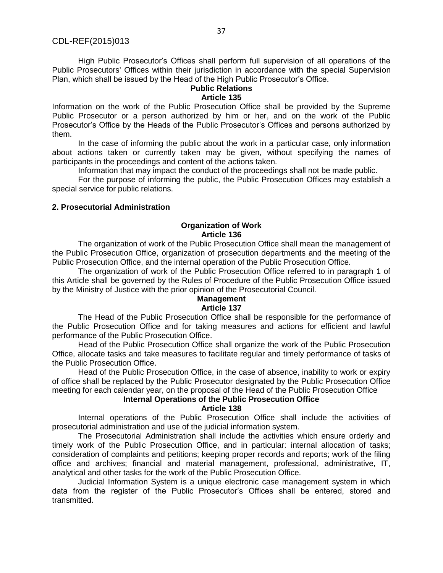High Public Prosecutor's Offices shall perform full supervision of all operations of the Public Prosecutors' Offices within their jurisdiction in accordance with the special Supervision Plan, which shall be issued by the Head of the High Public Prosecutor's Office.

#### **Public Relations Article 135**

Information on the work of the Public Prosecution Office shall be provided by the Supreme Public Prosecutor or a person authorized by him or her, and on the work of the Public Prosecutor's Office by the Heads of the Public Prosecutor's Offices and persons authorized by them.

In the case of informing the public about the work in a particular case, only information about actions taken or currently taken may be given, without specifying the names of participants in the proceedings and content of the actions taken.

Information that may impact the conduct of the proceedings shall not be made public.

For the purpose of informing the public, the Public Prosecution Offices may establish a special service for public relations.

### **2. Prosecutorial Administration**

#### **Organization of Work Article 136**

The organization of work of the Public Prosecution Office shall mean the management of the Public Prosecution Office, organization of prosecution departments and the meeting of the Public Prosecution Office, and the internal operation of the Public Prosecution Office.

The organization of work of the Public Prosecution Office referred to in paragraph 1 of this Article shall be governed by the Rules of Procedure of the Public Prosecution Office issued by the Ministry of Justice with the prior opinion of the Prosecutorial Council.

#### **Management Article 137**

The Head of the Public Prosecution Office shall be responsible for the performance of the Public Prosecution Office and for taking measures and actions for efficient and lawful performance of the Public Prosecution Office.

Head of the Public Prosecution Office shall organize the work of the Public Prosecution Office, allocate tasks and take measures to facilitate regular and timely performance of tasks of the Public Prosecution Office.

Head of the Public Prosecution Office, in the case of absence, inability to work or expiry of office shall be replaced by the Public Prosecutor designated by the Public Prosecution Office meeting for each calendar year, on the proposal of the Head of the Public Prosecution Office

# **Internal Operations of the Public Prosecution Office**

**Article 138**

Internal operations of the Public Prosecution Office shall include the activities of prosecutorial administration and use of the judicial information system.

The Prosecutorial Administration shall include the activities which ensure orderly and timely work of the Public Prosecution Office, and in particular: internal allocation of tasks; consideration of complaints and petitions; keeping proper records and reports; work of the filing office and archives; financial and material management, professional, administrative, IT, analytical and other tasks for the work of the Public Prosecution Office.

Judicial Information System is a unique electronic case management system in which data from the register of the Public Prosecutor's Offices shall be entered, stored and transmitted.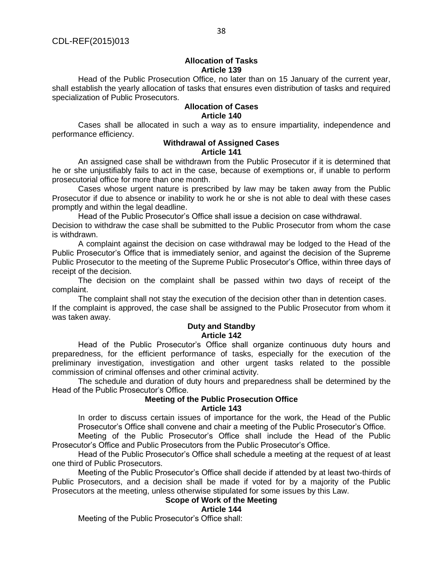#### **Allocation of Tasks Article 139**

Head of the Public Prosecution Office, no later than on 15 January of the current year, shall establish the yearly allocation of tasks that ensures even distribution of tasks and required specialization of Public Prosecutors.

## **Allocation of Cases Article 140**

Cases shall be allocated in such a way as to ensure impartiality, independence and performance efficiency.

#### **Withdrawal of Assigned Cases Article 141**

An assigned case shall be withdrawn from the Public Prosecutor if it is determined that he or she unjustifiably fails to act in the case, because of exemptions or, if unable to perform prosecutorial office for more than one month.

Cases whose urgent nature is prescribed by law may be taken away from the Public Prosecutor if due to absence or inability to work he or she is not able to deal with these cases promptly and within the legal deadline.

Head of the Public Prosecutor's Office shall issue a decision on case withdrawal.

Decision to withdraw the case shall be submitted to the Public Prosecutor from whom the case is withdrawn.

A complaint against the decision on case withdrawal may be lodged to the Head of the Public Prosecutor's Office that is immediately senior, and against the decision of the Supreme Public Prosecutor to the meeting of the Supreme Public Prosecutor's Office, within three days of receipt of the decision.

The decision on the complaint shall be passed within two days of receipt of the complaint.

The complaint shall not stay the execution of the decision other than in detention cases. If the complaint is approved, the case shall be assigned to the Public Prosecutor from whom it was taken away.

# **Duty and Standby**

## **Article 142**

Head of the Public Prosecutor's Office shall organize continuous duty hours and preparedness, for the efficient performance of tasks, especially for the execution of the preliminary investigation, investigation and other urgent tasks related to the possible commission of criminal offenses and other criminal activity.

The schedule and duration of duty hours and preparedness shall be determined by the Head of the Public Prosecutor's Office.

## **Meeting of the Public Prosecution Office Article 143**

In order to discuss certain issues of importance for the work, the Head of the Public Prosecutor's Office shall convene and chair a meeting of the Public Prosecutor's Office.

Meeting of the Public Prosecutor's Office shall include the Head of the Public Prosecutor's Office and Public Prosecutors from the Public Prosecutor's Office.

Head of the Public Prosecutor's Office shall schedule a meeting at the request of at least one third of Public Prosecutors.

Meeting of the Public Prosecutor's Office shall decide if attended by at least two-thirds of Public Prosecutors, and a decision shall be made if voted for by a majority of the Public Prosecutors at the meeting, unless otherwise stipulated for some issues by this Law.

# **Scope of Work of the Meeting**

#### **Article 144**

Meeting of the Public Prosecutor's Office shall: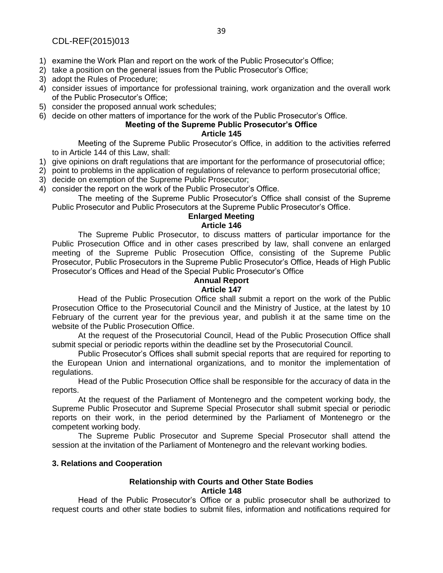- 1) examine the Work Plan and report on the work of the Public Prosecutor's Office;
- 2) take a position on the general issues from the Public Prosecutor's Office;
- 3) adopt the Rules of Procedure;
- 4) consider issues of importance for professional training, work organization and the overall work of the Public Prosecutor's Office;
- 5) consider the proposed annual work schedules;
- 6) decide on other matters of importance for the work of the Public Prosecutor's Office.

# **Meeting of the Supreme Public Prosecutor's Office**

#### **Article 145**

Meeting of the Supreme Public Prosecutor's Office, in addition to the activities referred to in Article 144 of this Law, shall:

- 1) give opinions on draft regulations that are important for the performance of prosecutorial office;
- 2) point to problems in the application of regulations of relevance to perform prosecutorial office;
- 3) decide on exemption of the Supreme Public Prosecutor;
- 4) consider the report on the work of the Public Prosecutor's Office.

The meeting of the Supreme Public Prosecutor's Office shall consist of the Supreme Public Prosecutor and Public Prosecutors at the Supreme Public Prosecutor's Office.

## **Enlarged Meeting**

#### **Article 146**

The Supreme Public Prosecutor, to discuss matters of particular importance for the Public Prosecution Office and in other cases prescribed by law, shall convene an enlarged meeting of the Supreme Public Prosecution Office, consisting of the Supreme Public Prosecutor, Public Prosecutors in the Supreme Public Prosecutor's Office, Heads of High Public Prosecutor's Offices and Head of the Special Public Prosecutor's Office

## **Annual Report**

#### **Article 147**

Head of the Public Prosecution Office shall submit a report on the work of the Public Prosecution Office to the Prosecutorial Council and the Ministry of Justice, at the latest by 10 February of the current year for the previous year, and publish it at the same time on the website of the Public Prosecution Office.

At the request of the Prosecutorial Council, Head of the Public Prosecution Office shall submit special or periodic reports within the deadline set by the Prosecutorial Council.

Public Prosecutor's Offices shall submit special reports that are required for reporting to the European Union and international organizations, and to monitor the implementation of regulations.

Head of the Public Prosecution Office shall be responsible for the accuracy of data in the reports.

At the request of the Parliament of Montenegro and the competent working body, the Supreme Public Prosecutor and Supreme Special Prosecutor shall submit special or periodic reports on their work, in the period determined by the Parliament of Montenegro or the competent working body.

The Supreme Public Prosecutor and Supreme Special Prosecutor shall attend the session at the invitation of the Parliament of Montenegro and the relevant working bodies.

#### **3. Relations and Cooperation**

## **Relationship with Courts and Other State Bodies Article 148**

Head of the Public Prosecutor's Office or a public prosecutor shall be authorized to request courts and other state bodies to submit files, information and notifications required for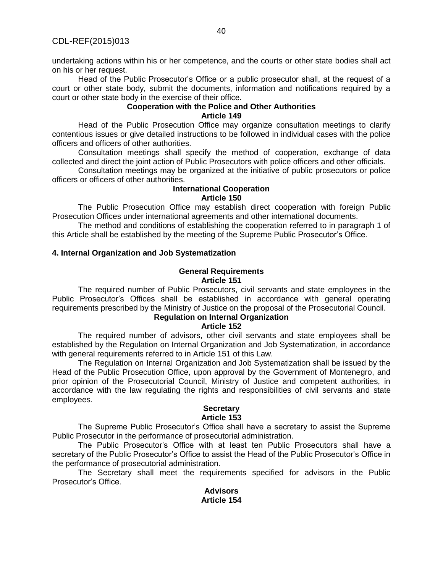undertaking actions within his or her competence, and the courts or other state bodies shall act on his or her request.

Head of the Public Prosecutor's Office or a public prosecutor shall, at the request of a court or other state body, submit the documents, information and notifications required by a court or other state body in the exercise of their office.

#### **Cooperation with the Police and Other Authorities Article 149**

Head of the Public Prosecution Office may organize consultation meetings to clarify contentious issues or give detailed instructions to be followed in individual cases with the police officers and officers of other authorities.

Consultation meetings shall specify the method of cooperation, exchange of data collected and direct the joint action of Public Prosecutors with police officers and other officials.

Consultation meetings may be organized at the initiative of public prosecutors or police officers or officers of other authorities.

#### **International Cooperation Article 150**

The Public Prosecution Office may establish direct cooperation with foreign Public Prosecution Offices under international agreements and other international documents.

The method and conditions of establishing the cooperation referred to in paragraph 1 of this Article shall be established by the meeting of the Supreme Public Prosecutor's Office.

## **4. Internal Organization and Job Systematization**

#### **General Requirements Article 151**

The required number of Public Prosecutors, civil servants and state employees in the Public Prosecutor's Offices shall be established in accordance with general operating requirements prescribed by the Ministry of Justice on the proposal of the Prosecutorial Council.

# **Regulation on Internal Organization**

**Article 152**

The required number of advisors, other civil servants and state employees shall be established by the Regulation on Internal Organization and Job Systematization, in accordance with general requirements referred to in Article 151 of this Law.

The Regulation on Internal Organization and Job Systematization shall be issued by the Head of the Public Prosecution Office, upon approval by the Government of Montenegro, and prior opinion of the Prosecutorial Council, Ministry of Justice and competent authorities, in accordance with the law regulating the rights and responsibilities of civil servants and state employees.

# **Secretary**

# **Article 153**

The Supreme Public Prosecutor's Office shall have a secretary to assist the Supreme Public Prosecutor in the performance of prosecutorial administration.

The Public Prosecutor's Office with at least ten Public Prosecutors shall have a secretary of the Public Prosecutor's Office to assist the Head of the Public Prosecutor's Office in the performance of prosecutorial administration.

The Secretary shall meet the requirements specified for advisors in the Public Prosecutor's Office.

#### **Advisors Article 154**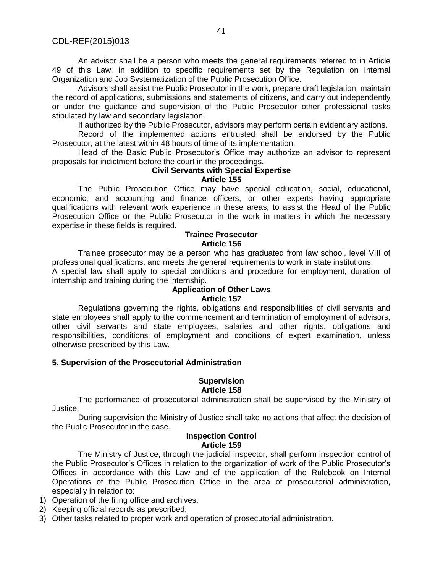An advisor shall be a person who meets the general requirements referred to in Article 49 of this Law, in addition to specific requirements set by the Regulation on Internal Organization and Job Systematization of the Public Prosecution Office.

Advisors shall assist the Public Prosecutor in the work, prepare draft legislation, maintain the record of applications, submissions and statements of citizens, and carry out independently or under the guidance and supervision of the Public Prosecutor other professional tasks stipulated by law and secondary legislation.

If authorized by the Public Prosecutor, advisors may perform certain evidentiary actions.

Record of the implemented actions entrusted shall be endorsed by the Public Prosecutor, at the latest within 48 hours of time of its implementation.

Head of the Basic Public Prosecutor's Office may authorize an advisor to represent proposals for indictment before the court in the proceedings.

#### **Civil Servants with Special Expertise**

#### **Article 155**

The Public Prosecution Office may have special education, social, educational, economic, and accounting and finance officers, or other experts having appropriate qualifications with relevant work experience in these areas, to assist the Head of the Public Prosecution Office or the Public Prosecutor in the work in matters in which the necessary expertise in these fields is required.

#### **Trainee Prosecutor Article 156**

Trainee prosecutor may be a person who has graduated from law school, level VIII of professional qualifications, and meets the general requirements to work in state institutions.

A special law shall apply to special conditions and procedure for employment, duration of internship and training during the internship.

#### **Application of Other Laws Article 157**

Regulations governing the rights, obligations and responsibilities of civil servants and state employees shall apply to the commencement and termination of employment of advisors, other civil servants and state employees, salaries and other rights, obligations and responsibilities, conditions of employment and conditions of expert examination, unless otherwise prescribed by this Law.

#### **5. Supervision of the Prosecutorial Administration**

#### **Supervision Article 158**

The performance of prosecutorial administration shall be supervised by the Ministry of Justice.

During supervision the Ministry of Justice shall take no actions that affect the decision of the Public Prosecutor in the case.

#### **Inspection Control Article 159**

The Ministry of Justice, through the judicial inspector, shall perform inspection control of the Public Prosecutor's Offices in relation to the organization of work of the Public Prosecutor's Offices in accordance with this Law and of the application of the Rulebook on Internal Operations of the Public Prosecution Office in the area of prosecutorial administration, especially in relation to:

1) Operation of the filing office and archives;

- 2) Keeping official records as prescribed;
- 3) Other tasks related to proper work and operation of prosecutorial administration.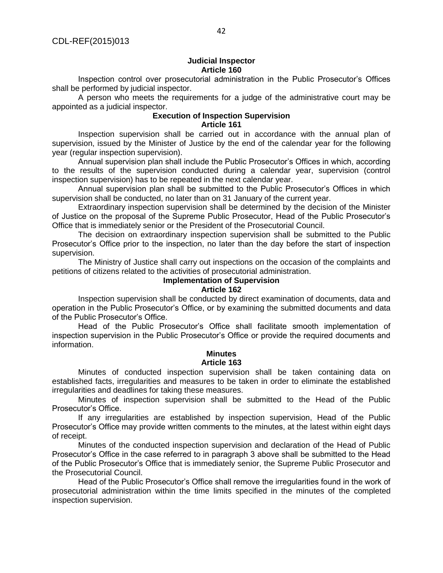#### **Judicial Inspector Article 160**

Inspection control over prosecutorial administration in the Public Prosecutor's Offices shall be performed by judicial inspector.

A person who meets the requirements for a judge of the administrative court may be appointed as a judicial inspector.

## **Execution of Inspection Supervision Article 161**

Inspection supervision shall be carried out in accordance with the annual plan of supervision, issued by the Minister of Justice by the end of the calendar year for the following year (regular inspection supervision).

Annual supervision plan shall include the Public Prosecutor's Offices in which, according to the results of the supervision conducted during a calendar year, supervision (control inspection supervision) has to be repeated in the next calendar year.

Annual supervision plan shall be submitted to the Public Prosecutor's Offices in which supervision shall be conducted, no later than on 31 January of the current year.

Extraordinary inspection supervision shall be determined by the decision of the Minister of Justice on the proposal of the Supreme Public Prosecutor, Head of the Public Prosecutor's Office that is immediately senior or the President of the Prosecutorial Council.

The decision on extraordinary inspection supervision shall be submitted to the Public Prosecutor's Office prior to the inspection, no later than the day before the start of inspection supervision.

The Ministry of Justice shall carry out inspections on the occasion of the complaints and petitions of citizens related to the activities of prosecutorial administration.

#### **Implementation of Supervision Article 162**

Inspection supervision shall be conducted by direct examination of documents, data and operation in the Public Prosecutor's Office, or by examining the submitted documents and data of the Public Prosecutor's Office.

Head of the Public Prosecutor's Office shall facilitate smooth implementation of inspection supervision in the Public Prosecutor's Office or provide the required documents and information.

## **Minutes**

## **Article 163**

Minutes of conducted inspection supervision shall be taken containing data on established facts, irregularities and measures to be taken in order to eliminate the established irregularities and deadlines for taking these measures.

Minutes of inspection supervision shall be submitted to the Head of the Public Prosecutor's Office.

If any irregularities are established by inspection supervision, Head of the Public Prosecutor's Office may provide written comments to the minutes, at the latest within eight days of receipt.

Minutes of the conducted inspection supervision and declaration of the Head of Public Prosecutor's Office in the case referred to in paragraph 3 above shall be submitted to the Head of the Public Prosecutor's Office that is immediately senior, the Supreme Public Prosecutor and the Prosecutorial Council.

Head of the Public Prosecutor's Office shall remove the irregularities found in the work of prosecutorial administration within the time limits specified in the minutes of the completed inspection supervision.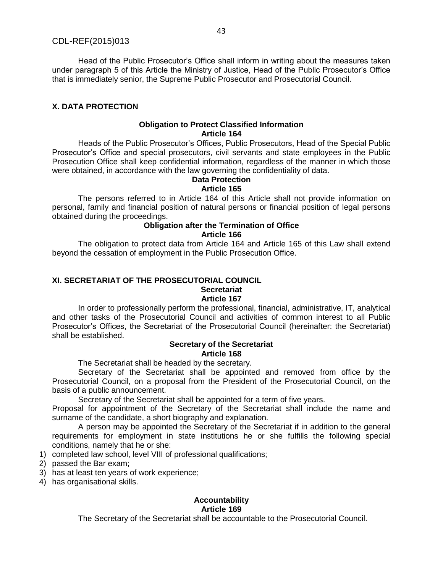Head of the Public Prosecutor's Office shall inform in writing about the measures taken under paragraph 5 of this Article the Ministry of Justice, Head of the Public Prosecutor's Office that is immediately senior, the Supreme Public Prosecutor and Prosecutorial Council.

## **X. DATA PROTECTION**

#### **Obligation to Protect Classified Information Article 164**

Heads of the Public Prosecutor's Offices, Public Prosecutors, Head of the Special Public Prosecutor's Office and special prosecutors, civil servants and state employees in the Public Prosecution Office shall keep confidential information, regardless of the manner in which those were obtained, in accordance with the law governing the confidentiality of data.

#### **Data Protection Article 165**

The persons referred to in Article 164 of this Article shall not provide information on personal, family and financial position of natural persons or financial position of legal persons obtained during the proceedings.

# **Obligation after the Termination of Office**

**Article 166**

The obligation to protect data from Article 164 and Article 165 of this Law shall extend beyond the cessation of employment in the Public Prosecution Office.

# **XI. SECRETARIAT OF THE PROSECUTORIAL COUNCIL Secretariat**

## **Article 167**

In order to professionally perform the professional, financial, administrative, IT, analytical and other tasks of the Prosecutorial Council and activities of common interest to all Public Prosecutor's Offices, the Secretariat of the Prosecutorial Council (hereinafter: the Secretariat) shall be established.

#### **Secretary of the Secretariat Article 168**

The Secretariat shall be headed by the secretary.

Secretary of the Secretariat shall be appointed and removed from office by the Prosecutorial Council, on a proposal from the President of the Prosecutorial Council, on the basis of a public announcement.

Secretary of the Secretariat shall be appointed for a term of five years.

Proposal for appointment of the Secretary of the Secretariat shall include the name and surname of the candidate, a short biography and explanation.

A person may be appointed the Secretary of the Secretariat if in addition to the general requirements for employment in state institutions he or she fulfills the following special conditions, namely that he or she:

- 1) completed law school, level VIII of professional qualifications;
- 2) passed the Bar exam;
- 3) has at least ten years of work experience;
- 4) has organisational skills.

#### **Accountability Article 169**

The Secretary of the Secretariat shall be accountable to the Prosecutorial Council.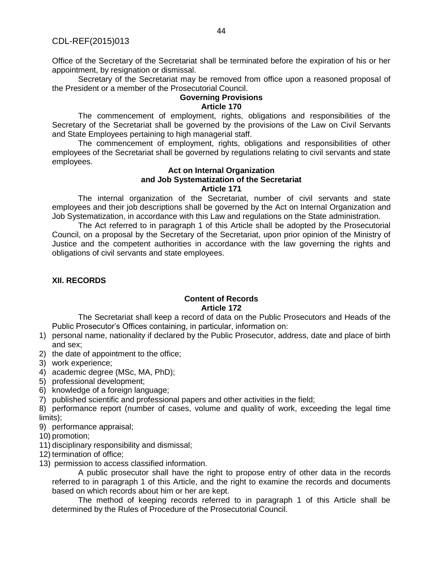Office of the Secretary of the Secretariat shall be terminated before the expiration of his or her appointment, by resignation or dismissal.

Secretary of the Secretariat may be removed from office upon a reasoned proposal of the President or a member of the Prosecutorial Council.

# **Governing Provisions Article 170**

The commencement of employment, rights, obligations and responsibilities of the Secretary of the Secretariat shall be governed by the provisions of the Law on Civil Servants and State Employees pertaining to high managerial staff.

The commencement of employment, rights, obligations and responsibilities of other employees of the Secretariat shall be governed by regulations relating to civil servants and state employees.

#### **Act on Internal Organization and Job Systematization of the Secretariat Article 171**

The internal organization of the Secretariat, number of civil servants and state employees and their job descriptions shall be governed by the Act on Internal Organization and Job Systematization, in accordance with this Law and regulations on the State administration.

The Act referred to in paragraph 1 of this Article shall be adopted by the Prosecutorial Council, on a proposal by the Secretary of the Secretariat, upon prior opinion of the Ministry of Justice and the competent authorities in accordance with the law governing the rights and obligations of civil servants and state employees.

# **XII. RECORDS**

#### **Content of Records Article 172**

The Secretariat shall keep a record of data on the Public Prosecutors and Heads of the Public Prosecutor's Offices containing, in particular, information on:

- 1) personal name, nationality if declared by the Public Prosecutor, address, date and place of birth and sex;
- 2) the date of appointment to the office;
- 3) work experience;
- 4) academic degree (MSc, MA, PhD);
- 5) professional development;
- 6) knowledge of a foreign language;
- 7) published scientific and professional papers and other activities in the field;

8) performance report (number of cases, volume and quality of work, exceeding the legal time limits);

- 9) performance appraisal;
- 10) promotion;
- 11) disciplinary responsibility and dismissal;
- 12) termination of office;
- 13) permission to access classified information.

A public prosecutor shall have the right to propose entry of other data in the records referred to in paragraph 1 of this Article, and the right to examine the records and documents based on which records about him or her are kept.

The method of keeping records referred to in paragraph 1 of this Article shall be determined by the Rules of Procedure of the Prosecutorial Council.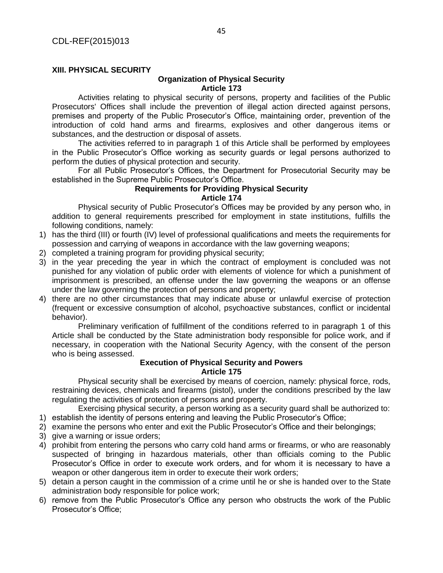## **XIII. PHYSICAL SECURITY**

#### **Organization of Physical Security Article 173**

Activities relating to physical security of persons, property and facilities of the Public Prosecutors' Offices shall include the prevention of illegal action directed against persons, premises and property of the Public Prosecutor's Office, maintaining order, prevention of the introduction of cold hand arms and firearms, explosives and other dangerous items or substances, and the destruction or disposal of assets.

The activities referred to in paragraph 1 of this Article shall be performed by employees in the Public Prosecutor's Office working as security guards or legal persons authorized to perform the duties of physical protection and security.

For all Public Prosecutor's Offices, the Department for Prosecutorial Security may be established in the Supreme Public Prosecutor's Office.

## **Requirements for Providing Physical Security Article 174**

Physical security of Public Prosecutor's Offices may be provided by any person who, in addition to general requirements prescribed for employment in state institutions, fulfills the following conditions, namely:

- 1) has the third (III) or fourth (IV) level of professional qualifications and meets the requirements for possession and carrying of weapons in accordance with the law governing weapons;
- 2) completed a training program for providing physical security;
- 3) in the year preceding the year in which the contract of employment is concluded was not punished for any violation of public order with elements of violence for which a punishment of imprisonment is prescribed, an offense under the law governing the weapons or an offense under the law governing the protection of persons and property;
- 4) there are no other circumstances that may indicate abuse or unlawful exercise of protection (frequent or excessive consumption of alcohol, psychoactive substances, conflict or incidental behavior).

Preliminary verification of fulfillment of the conditions referred to in paragraph 1 of this Article shall be conducted by the State administration body responsible for police work, and if necessary, in cooperation with the National Security Agency, with the consent of the person who is being assessed.

#### **Execution of Physical Security and Powers Article 175**

Physical security shall be exercised by means of coercion, namely: physical force, rods, restraining devices, chemicals and firearms (pistol), under the conditions prescribed by the law regulating the activities of protection of persons and property.

Exercising physical security, a person working as a security guard shall be authorized to: 1) establish the identity of persons entering and leaving the Public Prosecutor's Office;

- 2) examine the persons who enter and exit the Public Prosecutor's Office and their belongings;
- 3) give a warning or issue orders;
- 4) prohibit from entering the persons who carry cold hand arms or firearms, or who are reasonably suspected of bringing in hazardous materials, other than officials coming to the Public Prosecutor's Office in order to execute work orders, and for whom it is necessary to have a weapon or other dangerous item in order to execute their work orders;
- 5) detain a person caught in the commission of a crime until he or she is handed over to the State administration body responsible for police work;
- 6) remove from the Public Prosecutor's Office any person who obstructs the work of the Public Prosecutor's Office;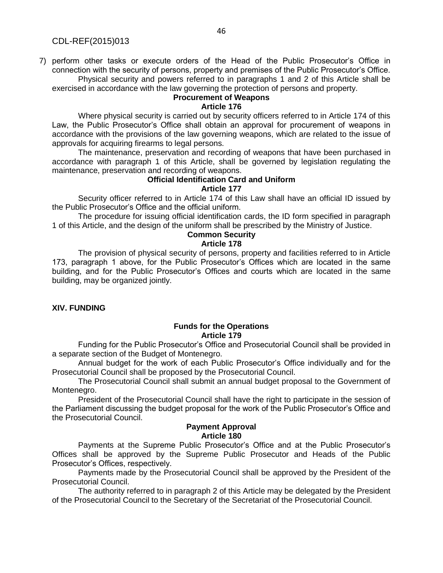7) perform other tasks or execute orders of the Head of the Public Prosecutor's Office in connection with the security of persons, property and premises of the Public Prosecutor's Office. Physical security and powers referred to in paragraphs 1 and 2 of this Article shall be

exercised in accordance with the law governing the protection of persons and property.

### **Procurement of Weapons**

#### **Article 176**

Where physical security is carried out by security officers referred to in Article 174 of this Law, the Public Prosecutor's Office shall obtain an approval for procurement of weapons in accordance with the provisions of the law governing weapons, which are related to the issue of approvals for acquiring firearms to legal persons.

The maintenance, preservation and recording of weapons that have been purchased in accordance with paragraph 1 of this Article, shall be governed by legislation regulating the maintenance, preservation and recording of weapons.

# **Official Identification Card and Uniform**

#### **Article 177**

Security officer referred to in Article 174 of this Law shall have an official ID issued by the Public Prosecutor's Office and the official uniform.

The procedure for issuing official identification cards, the ID form specified in paragraph 1 of this Article, and the design of the uniform shall be prescribed by the Ministry of Justice.

## **Common Security**

#### **Article 178**

The provision of physical security of persons, property and facilities referred to in Article 173, paragraph 1 above, for the Public Prosecutor's Offices which are located in the same building, and for the Public Prosecutor's Offices and courts which are located in the same building, may be organized jointly.

## **XIV. FUNDING**

## **Funds for the Operations Article 179**

Funding for the Public Prosecutor's Office and Prosecutorial Council shall be provided in a separate section of the Budget of Montenegro.

Annual budget for the work of each Public Prosecutor's Office individually and for the Prosecutorial Council shall be proposed by the Prosecutorial Council.

The Prosecutorial Council shall submit an annual budget proposal to the Government of Montenegro.

President of the Prosecutorial Council shall have the right to participate in the session of the Parliament discussing the budget proposal for the work of the Public Prosecutor's Office and the Prosecutorial Council.

#### **Payment Approval Article 180**

Payments at the Supreme Public Prosecutor's Office and at the Public Prosecutor's Offices shall be approved by the Supreme Public Prosecutor and Heads of the Public Prosecutor's Offices, respectively.

Payments made by the Prosecutorial Council shall be approved by the President of the Prosecutorial Council.

The authority referred to in paragraph 2 of this Article may be delegated by the President of the Prosecutorial Council to the Secretary of the Secretariat of the Prosecutorial Council.